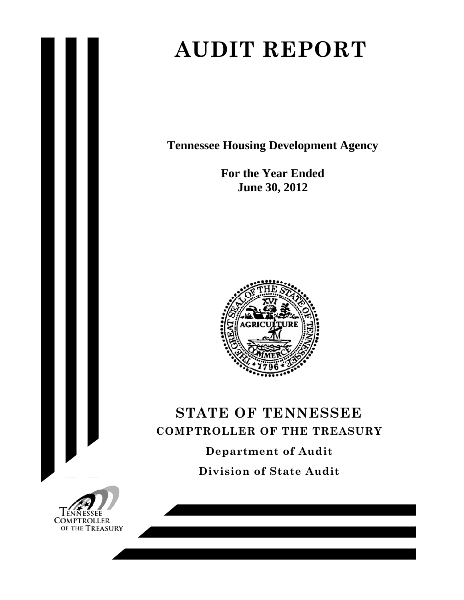# **AUDIT REPORT**

**Tennessee Housing Development Agency** 

**For the Year Ended June 30, 2012** 



## **STATE OF TENNESSEE COMPTROLLER OF THE TREASURY Department of Audit**

**Division of State Audit** 

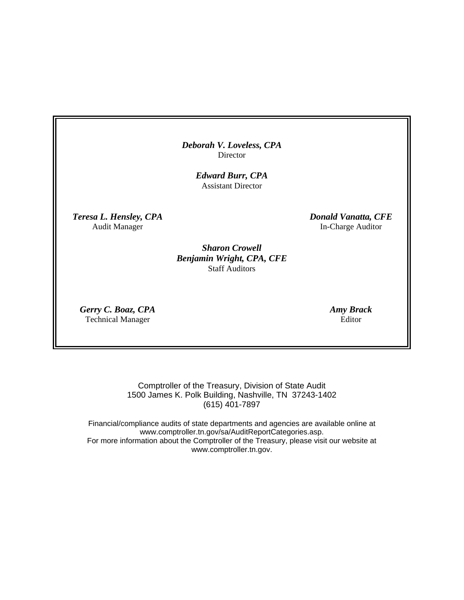*Deborah V. Loveless, CPA* Director

> *Edward Burr, CPA* Assistant Director

*Teresa L. Hensley, CPA Donald Vanatta, CFE* 

Audit Manager **In-Charge Auditor** 

*Sharon Crowell Benjamin Wright, CPA, CFE*  Staff Auditors

*Gerry C. Boaz, CPA Amy Brack*  Technical Manager

Comptroller of the Treasury, Division of State Audit 1500 James K. Polk Building, Nashville, TN 37243-1402 (615) 401-7897

Financial/compliance audits of state departments and agencies are available online at www.comptroller.tn.gov/sa/AuditReportCategories.asp. For more information about the Comptroller of the Treasury, please visit our website at www.comptroller.tn.gov.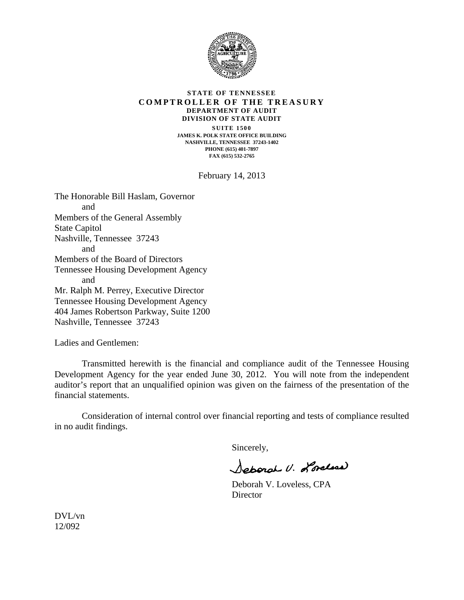

#### **STATE OF TENNESSEE COMPTROLLER OF THE TREASURY DEPARTMENT OF AUDIT DIVISION OF STATE AUDIT SUITE 1500 JAMES K. POLK STATE OFFICE BUILDING NASHVILLE, TENNESSEE 37243-1402 PHONE (615) 401-7897 FAX (615) 532-2765**

February 14, 2013

The Honorable Bill Haslam, Governor and Members of the General Assembly State Capitol Nashville, Tennessee 37243 and Members of the Board of Directors Tennessee Housing Development Agency and Mr. Ralph M. Perrey, Executive Director Tennessee Housing Development Agency 404 James Robertson Parkway, Suite 1200 Nashville, Tennessee 37243

Ladies and Gentlemen:

 Transmitted herewith is the financial and compliance audit of the Tennessee Housing Development Agency for the year ended June 30, 2012. You will note from the independent auditor's report that an unqualified opinion was given on the fairness of the presentation of the financial statements.

 Consideration of internal control over financial reporting and tests of compliance resulted in no audit findings.

Sincerely,

Seporal U. Loreline

 Deborah V. Loveless, CPA **Director** 

DVL/vn 12/092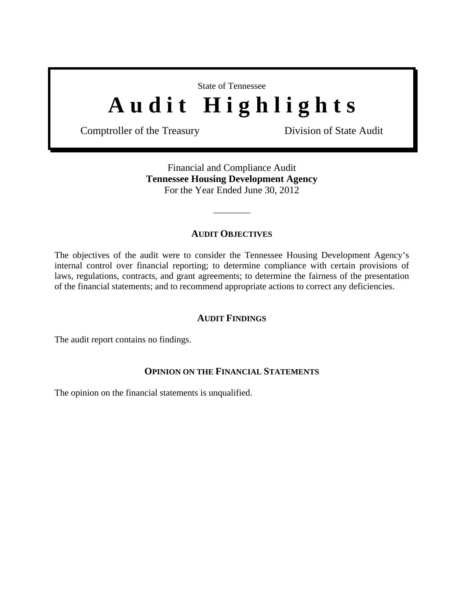State of Tennessee

# Audit Highlights

Comptroller of the Treasury Division of State Audit

Financial and Compliance Audit **Tennessee Housing Development Agency**  For the Year Ended June 30, 2012

### **AUDIT OBJECTIVES**

 $\frac{1}{2}$ 

The objectives of the audit were to consider the Tennessee Housing Development Agency's internal control over financial reporting; to determine compliance with certain provisions of laws, regulations, contracts, and grant agreements; to determine the fairness of the presentation of the financial statements; and to recommend appropriate actions to correct any deficiencies.

## **AUDIT FINDINGS**

The audit report contains no findings.

## **OPINION ON THE FINANCIAL STATEMENTS**

The opinion on the financial statements is unqualified.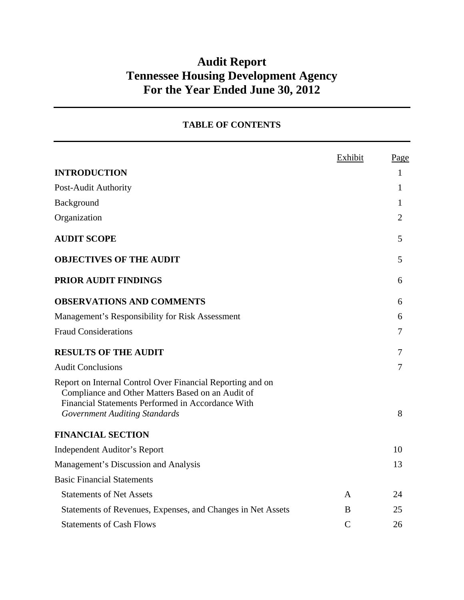## **Audit Report Tennessee Housing Development Agency For the Year Ended June 30, 2012**

### **TABLE OF CONTENTS**

|                                                                                                                                                                                                              | Exhibit      | Page |
|--------------------------------------------------------------------------------------------------------------------------------------------------------------------------------------------------------------|--------------|------|
| <b>INTRODUCTION</b>                                                                                                                                                                                          |              | 1    |
| Post-Audit Authority                                                                                                                                                                                         |              | 1    |
| Background                                                                                                                                                                                                   |              | 1    |
| Organization                                                                                                                                                                                                 |              | 2    |
| <b>AUDIT SCOPE</b>                                                                                                                                                                                           |              | 5    |
| <b>OBJECTIVES OF THE AUDIT</b>                                                                                                                                                                               |              | 5    |
| PRIOR AUDIT FINDINGS                                                                                                                                                                                         |              | 6    |
| <b>OBSERVATIONS AND COMMENTS</b>                                                                                                                                                                             |              | 6    |
| Management's Responsibility for Risk Assessment                                                                                                                                                              |              | 6    |
| <b>Fraud Considerations</b>                                                                                                                                                                                  |              | 7    |
| <b>RESULTS OF THE AUDIT</b>                                                                                                                                                                                  |              | 7    |
| <b>Audit Conclusions</b>                                                                                                                                                                                     |              | 7    |
| Report on Internal Control Over Financial Reporting and on<br>Compliance and Other Matters Based on an Audit of<br>Financial Statements Performed in Accordance With<br><b>Government Auditing Standards</b> |              | 8    |
| <b>FINANCIAL SECTION</b>                                                                                                                                                                                     |              |      |
| <b>Independent Auditor's Report</b>                                                                                                                                                                          |              | 10   |
| Management's Discussion and Analysis                                                                                                                                                                         |              | 13   |
| <b>Basic Financial Statements</b>                                                                                                                                                                            |              |      |
| <b>Statements of Net Assets</b>                                                                                                                                                                              | A            | 24   |
| Statements of Revenues, Expenses, and Changes in Net Assets                                                                                                                                                  | B            | 25   |
| <b>Statements of Cash Flows</b>                                                                                                                                                                              | $\mathsf{C}$ | 26   |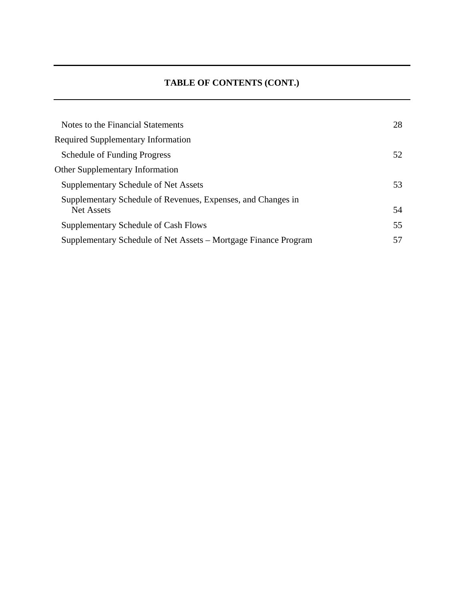## **TABLE OF CONTENTS (CONT.)**

| Notes to the Financial Statements                               | 28 |
|-----------------------------------------------------------------|----|
| <b>Required Supplementary Information</b>                       |    |
| <b>Schedule of Funding Progress</b>                             | 52 |
| <b>Other Supplementary Information</b>                          |    |
| Supplementary Schedule of Net Assets                            | 53 |
| Supplementary Schedule of Revenues, Expenses, and Changes in    |    |
| <b>Net Assets</b>                                               | 54 |
| Supplementary Schedule of Cash Flows                            | 55 |
| Supplementary Schedule of Net Assets – Mortgage Finance Program | 57 |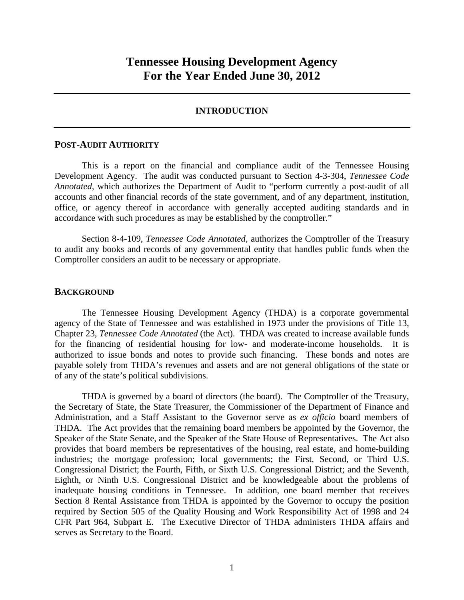## **Tennessee Housing Development Agency For the Year Ended June 30, 2012**

#### **INTRODUCTION**

#### **POST-AUDIT AUTHORITY**

 This is a report on the financial and compliance audit of the Tennessee Housing Development Agency. The audit was conducted pursuant to Section 4-3-304, *Tennessee Code Annotated,* which authorizes the Department of Audit to "perform currently a post-audit of all accounts and other financial records of the state government, and of any department, institution, office, or agency thereof in accordance with generally accepted auditing standards and in accordance with such procedures as may be established by the comptroller."

 Section 8-4-109, *Tennessee Code Annotated,* authorizes the Comptroller of the Treasury to audit any books and records of any governmental entity that handles public funds when the Comptroller considers an audit to be necessary or appropriate.

#### **BACKGROUND**

The Tennessee Housing Development Agency (THDA) is a corporate governmental agency of the State of Tennessee and was established in 1973 under the provisions of Title 13, Chapter 23, *Tennessee Code Annotated* (the Act). THDA was created to increase available funds for the financing of residential housing for low- and moderate-income households. It is authorized to issue bonds and notes to provide such financing. These bonds and notes are payable solely from THDA's revenues and assets and are not general obligations of the state or of any of the state's political subdivisions.

THDA is governed by a board of directors (the board). The Comptroller of the Treasury, the Secretary of State, the State Treasurer, the Commissioner of the Department of Finance and Administration, and a Staff Assistant to the Governor serve as *ex officio* board members of THDA. The Act provides that the remaining board members be appointed by the Governor, the Speaker of the State Senate, and the Speaker of the State House of Representatives. The Act also provides that board members be representatives of the housing, real estate, and home-building industries; the mortgage profession; local governments; the First, Second, or Third U.S. Congressional District; the Fourth, Fifth, or Sixth U.S. Congressional District; and the Seventh, Eighth, or Ninth U.S. Congressional District and be knowledgeable about the problems of inadequate housing conditions in Tennessee. In addition, one board member that receives Section 8 Rental Assistance from THDA is appointed by the Governor to occupy the position required by Section 505 of the Quality Housing and Work Responsibility Act of 1998 and 24 CFR Part 964, Subpart E. The Executive Director of THDA administers THDA affairs and serves as Secretary to the Board.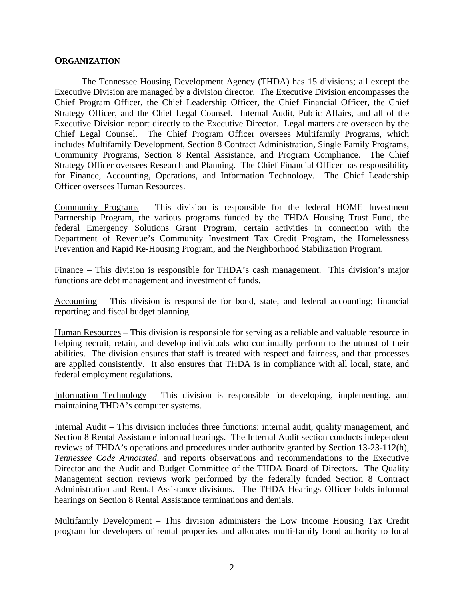#### **ORGANIZATION**

The Tennessee Housing Development Agency (THDA) has 15 divisions; all except the Executive Division are managed by a division director. The Executive Division encompasses the Chief Program Officer, the Chief Leadership Officer, the Chief Financial Officer, the Chief Strategy Officer, and the Chief Legal Counsel. Internal Audit, Public Affairs, and all of the Executive Division report directly to the Executive Director. Legal matters are overseen by the Chief Legal Counsel. The Chief Program Officer oversees Multifamily Programs, which includes Multifamily Development, Section 8 Contract Administration, Single Family Programs, Community Programs, Section 8 Rental Assistance, and Program Compliance. The Chief Strategy Officer oversees Research and Planning. The Chief Financial Officer has responsibility for Finance, Accounting, Operations, and Information Technology. The Chief Leadership Officer oversees Human Resources.

Community Programs – This division is responsible for the federal HOME Investment Partnership Program, the various programs funded by the THDA Housing Trust Fund, the federal Emergency Solutions Grant Program, certain activities in connection with the Department of Revenue's Community Investment Tax Credit Program, the Homelessness Prevention and Rapid Re-Housing Program, and the Neighborhood Stabilization Program.

Finance – This division is responsible for THDA's cash management. This division's major functions are debt management and investment of funds.

Accounting – This division is responsible for bond, state, and federal accounting; financial reporting; and fiscal budget planning.

Human Resources – This division is responsible for serving as a reliable and valuable resource in helping recruit, retain, and develop individuals who continually perform to the utmost of their abilities. The division ensures that staff is treated with respect and fairness, and that processes are applied consistently. It also ensures that THDA is in compliance with all local, state, and federal employment regulations.

Information Technology – This division is responsible for developing, implementing, and maintaining THDA's computer systems.

Internal Audit – This division includes three functions: internal audit, quality management, and Section 8 Rental Assistance informal hearings. The Internal Audit section conducts independent reviews of THDA's operations and procedures under authority granted by Section 13-23-112(h), *Tennessee Code Annotated,* and reports observations and recommendations to the Executive Director and the Audit and Budget Committee of the THDA Board of Directors. The Quality Management section reviews work performed by the federally funded Section 8 Contract Administration and Rental Assistance divisions. The THDA Hearings Officer holds informal hearings on Section 8 Rental Assistance terminations and denials.

Multifamily Development – This division administers the Low Income Housing Tax Credit program for developers of rental properties and allocates multi-family bond authority to local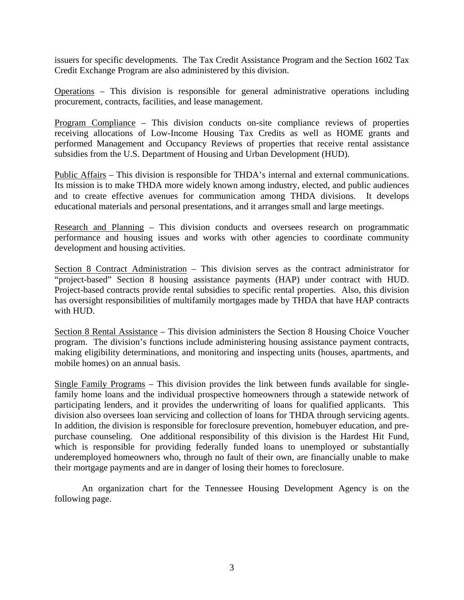issuers for specific developments. The Tax Credit Assistance Program and the Section 1602 Tax Credit Exchange Program are also administered by this division.

Operations – This division is responsible for general administrative operations including procurement, contracts, facilities, and lease management.

Program Compliance – This division conducts on-site compliance reviews of properties receiving allocations of Low-Income Housing Tax Credits as well as HOME grants and performed Management and Occupancy Reviews of properties that receive rental assistance subsidies from the U.S. Department of Housing and Urban Development (HUD).

Public Affairs – This division is responsible for THDA's internal and external communications. Its mission is to make THDA more widely known among industry, elected, and public audiences and to create effective avenues for communication among THDA divisions. It develops educational materials and personal presentations, and it arranges small and large meetings.

Research and Planning – This division conducts and oversees research on programmatic performance and housing issues and works with other agencies to coordinate community development and housing activities.

Section 8 Contract Administration – This division serves as the contract administrator for "project-based" Section 8 housing assistance payments (HAP) under contract with HUD. Project-based contracts provide rental subsidies to specific rental properties. Also, this division has oversight responsibilities of multifamily mortgages made by THDA that have HAP contracts with HUD.

Section 8 Rental Assistance – This division administers the Section 8 Housing Choice Voucher program. The division's functions include administering housing assistance payment contracts, making eligibility determinations, and monitoring and inspecting units (houses, apartments, and mobile homes) on an annual basis.

Single Family Programs – This division provides the link between funds available for singlefamily home loans and the individual prospective homeowners through a statewide network of participating lenders, and it provides the underwriting of loans for qualified applicants. This division also oversees loan servicing and collection of loans for THDA through servicing agents. In addition, the division is responsible for foreclosure prevention, homebuyer education, and prepurchase counseling. One additional responsibility of this division is the Hardest Hit Fund, which is responsible for providing federally funded loans to unemployed or substantially underemployed homeowners who, through no fault of their own, are financially unable to make their mortgage payments and are in danger of losing their homes to foreclosure.

 An organization chart for the Tennessee Housing Development Agency is on the following page.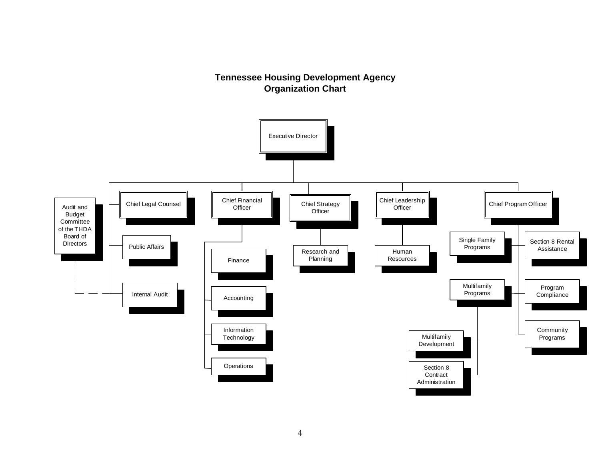## **Tennessee Housing Development Agency Organization Chart**

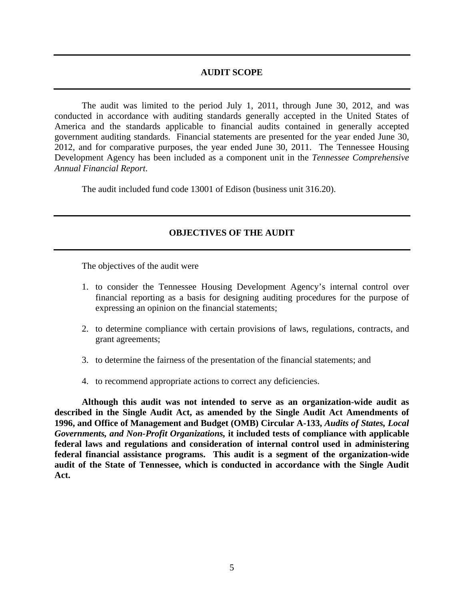#### **AUDIT SCOPE**

 The audit was limited to the period July 1, 2011, through June 30, 2012, and was conducted in accordance with auditing standards generally accepted in the United States of America and the standards applicable to financial audits contained in generally accepted government auditing standards. Financial statements are presented for the year ended June 30, 2012, and for comparative purposes, the year ended June 30, 2011. The Tennessee Housing Development Agency has been included as a component unit in the *Tennessee Comprehensive Annual Financial Report*.

The audit included fund code 13001 of Edison (business unit 316.20).

#### **OBJECTIVES OF THE AUDIT**

The objectives of the audit were

- 1. to consider the Tennessee Housing Development Agency's internal control over financial reporting as a basis for designing auditing procedures for the purpose of expressing an opinion on the financial statements;
- 2. to determine compliance with certain provisions of laws, regulations, contracts, and grant agreements;
- 3. to determine the fairness of the presentation of the financial statements; and
- 4. to recommend appropriate actions to correct any deficiencies.

 **Although this audit was not intended to serve as an organization-wide audit as described in the Single Audit Act, as amended by the Single Audit Act Amendments of 1996, and Office of Management and Budget (OMB) Circular A-133,** *Audits of States, Local Governments, and Non-Profit Organizations,* **it included tests of compliance with applicable federal laws and regulations and consideration of internal control used in administering federal financial assistance programs. This audit is a segment of the organization-wide audit of the State of Tennessee, which is conducted in accordance with the Single Audit Act.**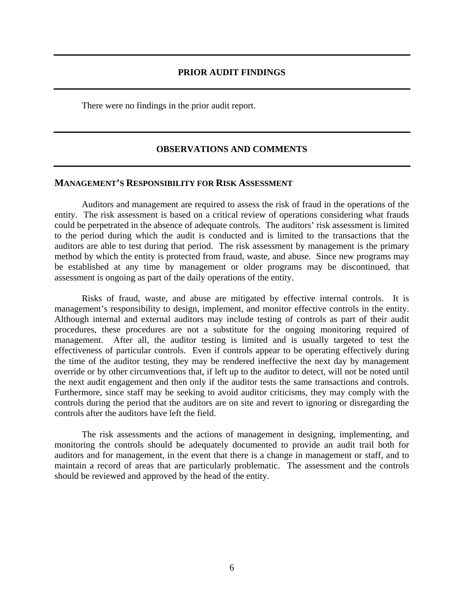There were no findings in the prior audit report.

#### **OBSERVATIONS AND COMMENTS**

#### **MANAGEMENT'S RESPONSIBILITY FOR RISK ASSESSMENT**

Auditors and management are required to assess the risk of fraud in the operations of the entity. The risk assessment is based on a critical review of operations considering what frauds could be perpetrated in the absence of adequate controls. The auditors' risk assessment is limited to the period during which the audit is conducted and is limited to the transactions that the auditors are able to test during that period. The risk assessment by management is the primary method by which the entity is protected from fraud, waste, and abuse. Since new programs may be established at any time by management or older programs may be discontinued, that assessment is ongoing as part of the daily operations of the entity.

Risks of fraud, waste, and abuse are mitigated by effective internal controls. It is management's responsibility to design, implement, and monitor effective controls in the entity. Although internal and external auditors may include testing of controls as part of their audit procedures, these procedures are not a substitute for the ongoing monitoring required of management. After all, the auditor testing is limited and is usually targeted to test the effectiveness of particular controls. Even if controls appear to be operating effectively during the time of the auditor testing, they may be rendered ineffective the next day by management override or by other circumventions that, if left up to the auditor to detect, will not be noted until the next audit engagement and then only if the auditor tests the same transactions and controls. Furthermore, since staff may be seeking to avoid auditor criticisms, they may comply with the controls during the period that the auditors are on site and revert to ignoring or disregarding the controls after the auditors have left the field.

The risk assessments and the actions of management in designing, implementing, and monitoring the controls should be adequately documented to provide an audit trail both for auditors and for management, in the event that there is a change in management or staff, and to maintain a record of areas that are particularly problematic. The assessment and the controls should be reviewed and approved by the head of the entity.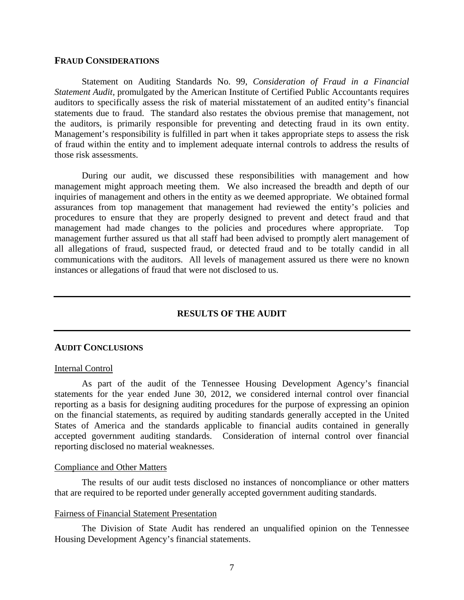#### **FRAUD CONSIDERATIONS**

Statement on Auditing Standards No. 99, *Consideration of Fraud in a Financial Statement Audit,* promulgated by the American Institute of Certified Public Accountants requires auditors to specifically assess the risk of material misstatement of an audited entity's financial statements due to fraud. The standard also restates the obvious premise that management, not the auditors, is primarily responsible for preventing and detecting fraud in its own entity. Management's responsibility is fulfilled in part when it takes appropriate steps to assess the risk of fraud within the entity and to implement adequate internal controls to address the results of those risk assessments.

During our audit, we discussed these responsibilities with management and how management might approach meeting them. We also increased the breadth and depth of our inquiries of management and others in the entity as we deemed appropriate. We obtained formal assurances from top management that management had reviewed the entity's policies and procedures to ensure that they are properly designed to prevent and detect fraud and that management had made changes to the policies and procedures where appropriate. Top management further assured us that all staff had been advised to promptly alert management of all allegations of fraud, suspected fraud, or detected fraud and to be totally candid in all communications with the auditors. All levels of management assured us there were no known instances or allegations of fraud that were not disclosed to us.

#### **RESULTS OF THE AUDIT**

#### **AUDIT CONCLUSIONS**

#### Internal Control

 As part of the audit of the Tennessee Housing Development Agency's financial statements for the year ended June 30, 2012, we considered internal control over financial reporting as a basis for designing auditing procedures for the purpose of expressing an opinion on the financial statements, as required by auditing standards generally accepted in the United States of America and the standards applicable to financial audits contained in generally accepted government auditing standards. Consideration of internal control over financial reporting disclosed no material weaknesses.

#### Compliance and Other Matters

 The results of our audit tests disclosed no instances of noncompliance or other matters that are required to be reported under generally accepted government auditing standards.

#### Fairness of Financial Statement Presentation

 The Division of State Audit has rendered an unqualified opinion on the Tennessee Housing Development Agency's financial statements.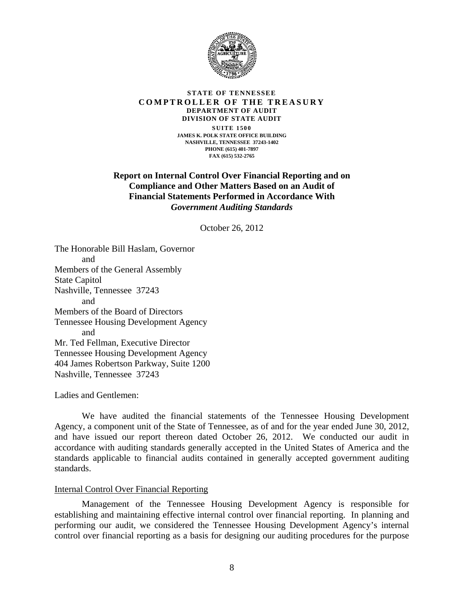

#### **STATE OF TENNESSEE COMPTROLLER OF THE TREASURY DEPARTMENT OF AUDIT DIVISION OF STATE AUDIT SUITE 1500 JAMES K. POLK STATE OFFICE BUILDING NASHVILLE, TENNESSEE 37243-1402 PHONE (615) 401-7897 FAX (615) 532-2765**

### **Report on Internal Control Over Financial Reporting and on Compliance and Other Matters Based on an Audit of Financial Statements Performed in Accordance With**  *Government Auditing Standards*

October 26, 2012

The Honorable Bill Haslam, Governor and Members of the General Assembly State Capitol Nashville, Tennessee 37243 and Members of the Board of Directors Tennessee Housing Development Agency and Mr. Ted Fellman, Executive Director Tennessee Housing Development Agency 404 James Robertson Parkway, Suite 1200 Nashville, Tennessee 37243

Ladies and Gentlemen:

 We have audited the financial statements of the Tennessee Housing Development Agency, a component unit of the State of Tennessee, as of and for the year ended June 30, 2012, and have issued our report thereon dated October 26, 2012. We conducted our audit in accordance with auditing standards generally accepted in the United States of America and the standards applicable to financial audits contained in generally accepted government auditing standards.

#### Internal Control Over Financial Reporting

 Management of the Tennessee Housing Development Agency is responsible for establishing and maintaining effective internal control over financial reporting. In planning and performing our audit, we considered the Tennessee Housing Development Agency's internal control over financial reporting as a basis for designing our auditing procedures for the purpose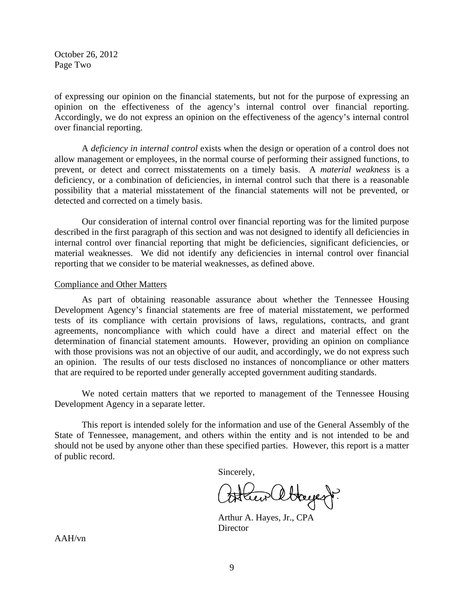October 26, 2012 Page Two

of expressing our opinion on the financial statements, but not for the purpose of expressing an opinion on the effectiveness of the agency's internal control over financial reporting. Accordingly, we do not express an opinion on the effectiveness of the agency's internal control over financial reporting.

A *deficiency in internal control* exists when the design or operation of a control does not allow management or employees, in the normal course of performing their assigned functions, to prevent, or detect and correct misstatements on a timely basis. A *material weakness* is a deficiency, or a combination of deficiencies, in internal control such that there is a reasonable possibility that a material misstatement of the financial statements will not be prevented, or detected and corrected on a timely basis.

Our consideration of internal control over financial reporting was for the limited purpose described in the first paragraph of this section and was not designed to identify all deficiencies in internal control over financial reporting that might be deficiencies, significant deficiencies, or material weaknesses. We did not identify any deficiencies in internal control over financial reporting that we consider to be material weaknesses, as defined above.

#### Compliance and Other Matters

 As part of obtaining reasonable assurance about whether the Tennessee Housing Development Agency's financial statements are free of material misstatement, we performed tests of its compliance with certain provisions of laws, regulations, contracts, and grant agreements, noncompliance with which could have a direct and material effect on the determination of financial statement amounts. However, providing an opinion on compliance with those provisions was not an objective of our audit, and accordingly, we do not express such an opinion. The results of our tests disclosed no instances of noncompliance or other matters that are required to be reported under generally accepted government auditing standards.

 We noted certain matters that we reported to management of the Tennessee Housing Development Agency in a separate letter.

 This report is intended solely for the information and use of the General Assembly of the State of Tennessee, management, and others within the entity and is not intended to be and should not be used by anyone other than these specified parties. However, this report is a matter of public record.

Sincerely,

bien Obboyez ?

 Arthur A. Hayes, Jr., CPA **Director** 

AAH/vn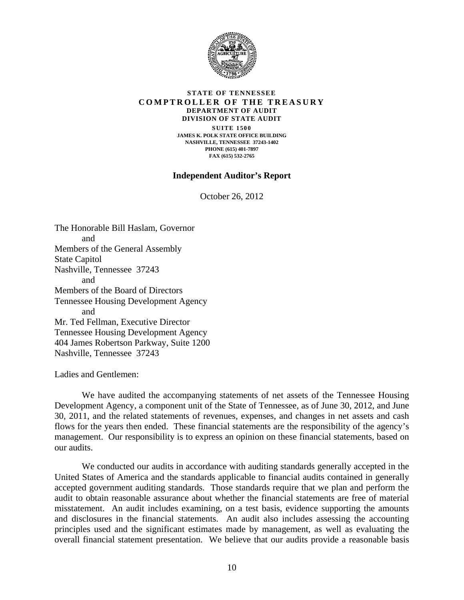

#### **STATE OF TENNESSEE COMPTROLLER OF THE TREASURY DEPARTMENT OF AUDIT DIVISION OF STATE AUDIT SUITE 1500 JAMES K. POLK STATE OFFICE BUILDING NASHVILLE, TENNESSEE 37243-1402 PHONE (615) 401-7897 FAX (615) 532-2765**

#### **Independent Auditor's Report**

October 26, 2012

The Honorable Bill Haslam, Governor and Members of the General Assembly State Capitol Nashville, Tennessee 37243 and Members of the Board of Directors Tennessee Housing Development Agency and Mr. Ted Fellman, Executive Director Tennessee Housing Development Agency 404 James Robertson Parkway, Suite 1200 Nashville, Tennessee 37243

Ladies and Gentlemen:

 We have audited the accompanying statements of net assets of the Tennessee Housing Development Agency, a component unit of the State of Tennessee, as of June 30, 2012, and June 30, 2011, and the related statements of revenues, expenses, and changes in net assets and cash flows for the years then ended. These financial statements are the responsibility of the agency's management. Our responsibility is to express an opinion on these financial statements, based on our audits.

 We conducted our audits in accordance with auditing standards generally accepted in the United States of America and the standards applicable to financial audits contained in generally accepted government auditing standards. Those standards require that we plan and perform the audit to obtain reasonable assurance about whether the financial statements are free of material misstatement. An audit includes examining, on a test basis, evidence supporting the amounts and disclosures in the financial statements. An audit also includes assessing the accounting principles used and the significant estimates made by management, as well as evaluating the overall financial statement presentation. We believe that our audits provide a reasonable basis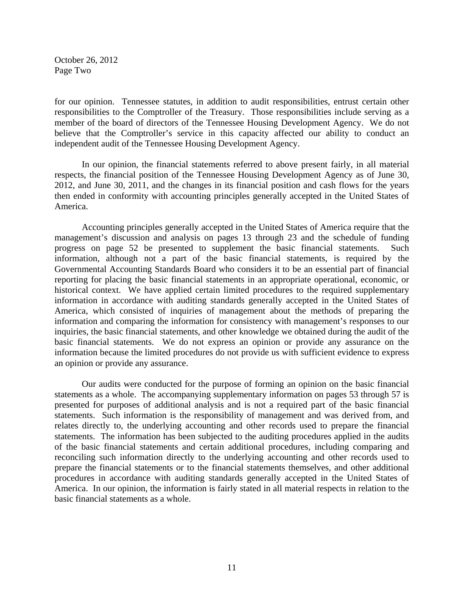October 26, 2012 Page Two

for our opinion. Tennessee statutes, in addition to audit responsibilities, entrust certain other responsibilities to the Comptroller of the Treasury. Those responsibilities include serving as a member of the board of directors of the Tennessee Housing Development Agency. We do not believe that the Comptroller's service in this capacity affected our ability to conduct an independent audit of the Tennessee Housing Development Agency.

 In our opinion, the financial statements referred to above present fairly, in all material respects, the financial position of the Tennessee Housing Development Agency as of June 30, 2012, and June 30, 2011, and the changes in its financial position and cash flows for the years then ended in conformity with accounting principles generally accepted in the United States of America.

 Accounting principles generally accepted in the United States of America require that the management's discussion and analysis on pages 13 through 23 and the schedule of funding progress on page 52 be presented to supplement the basic financial statements. Such information, although not a part of the basic financial statements, is required by the Governmental Accounting Standards Board who considers it to be an essential part of financial reporting for placing the basic financial statements in an appropriate operational, economic, or historical context. We have applied certain limited procedures to the required supplementary information in accordance with auditing standards generally accepted in the United States of America, which consisted of inquiries of management about the methods of preparing the information and comparing the information for consistency with management's responses to our inquiries, the basic financial statements, and other knowledge we obtained during the audit of the basic financial statements. We do not express an opinion or provide any assurance on the information because the limited procedures do not provide us with sufficient evidence to express an opinion or provide any assurance.

 Our audits were conducted for the purpose of forming an opinion on the basic financial statements as a whole. The accompanying supplementary information on pages 53 through 57 is presented for purposes of additional analysis and is not a required part of the basic financial statements. Such information is the responsibility of management and was derived from, and relates directly to, the underlying accounting and other records used to prepare the financial statements. The information has been subjected to the auditing procedures applied in the audits of the basic financial statements and certain additional procedures, including comparing and reconciling such information directly to the underlying accounting and other records used to prepare the financial statements or to the financial statements themselves, and other additional procedures in accordance with auditing standards generally accepted in the United States of America. In our opinion, the information is fairly stated in all material respects in relation to the basic financial statements as a whole.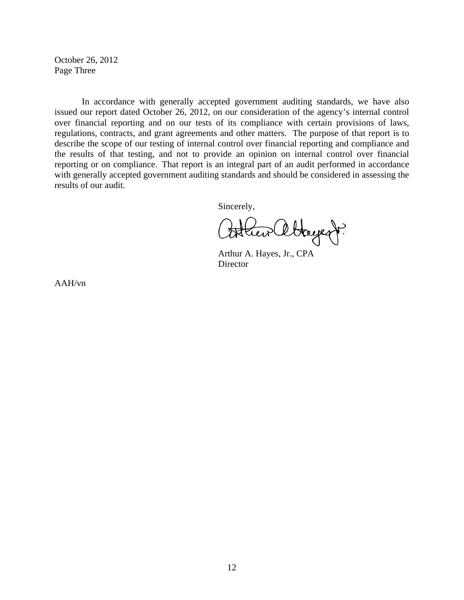October 26, 2012 Page Three

In accordance with generally accepted government auditing standards, we have also issued our report dated October 26, 2012, on our consideration of the agency's internal control over financial reporting and on our tests of its compliance with certain provisions of laws, regulations, contracts, and grant agreements and other matters. The purpose of that report is to describe the scope of our testing of internal control over financial reporting and compliance and the results of that testing, and not to provide an opinion on internal control over financial reporting or on compliance. That report is an integral part of an audit performed in accordance with generally accepted government auditing standards and should be considered in assessing the results of our audit.

Sincerely,

Heur attagent.

 Arthur A. Hayes, Jr., CPA Director

AAH/vn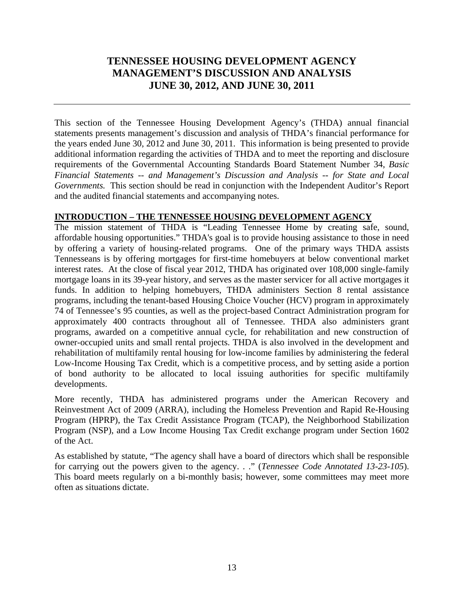This section of the Tennessee Housing Development Agency's (THDA) annual financial statements presents management's discussion and analysis of THDA's financial performance for the years ended June 30, 2012 and June 30, 2011. This information is being presented to provide additional information regarding the activities of THDA and to meet the reporting and disclosure requirements of the Governmental Accounting Standards Board Statement Number 34, *Basic Financial Statements -- and Management's Discussion and Analysis -- for State and Local Governments.* This section should be read in conjunction with the Independent Auditor's Report and the audited financial statements and accompanying notes.

### **INTRODUCTION – THE TENNESSEE HOUSING DEVELOPMENT AGENCY**

The mission statement of THDA is "Leading Tennessee Home by creating safe, sound, affordable housing opportunities." THDA's goal is to provide housing assistance to those in need by offering a variety of housing-related programs. One of the primary ways THDA assists Tennesseans is by offering mortgages for first-time homebuyers at below conventional market interest rates. At the close of fiscal year 2012, THDA has originated over 108,000 single-family mortgage loans in its 39-year history, and serves as the master servicer for all active mortgages it funds. In addition to helping homebuyers, THDA administers Section 8 rental assistance programs, including the tenant-based Housing Choice Voucher (HCV) program in approximately 74 of Tennessee's 95 counties, as well as the project-based Contract Administration program for approximately 400 contracts throughout all of Tennessee. THDA also administers grant programs, awarded on a competitive annual cycle, for rehabilitation and new construction of owner-occupied units and small rental projects. THDA is also involved in the development and rehabilitation of multifamily rental housing for low-income families by administering the federal Low-Income Housing Tax Credit, which is a competitive process, and by setting aside a portion of bond authority to be allocated to local issuing authorities for specific multifamily developments.

More recently, THDA has administered programs under the American Recovery and Reinvestment Act of 2009 (ARRA), including the Homeless Prevention and Rapid Re-Housing Program (HPRP), the Tax Credit Assistance Program (TCAP), the Neighborhood Stabilization Program (NSP), and a Low Income Housing Tax Credit exchange program under Section 1602 of the Act.

As established by statute, "The agency shall have a board of directors which shall be responsible for carrying out the powers given to the agency. . ." (*Tennessee Code Annotated 13-23-105*). This board meets regularly on a bi-monthly basis; however, some committees may meet more often as situations dictate.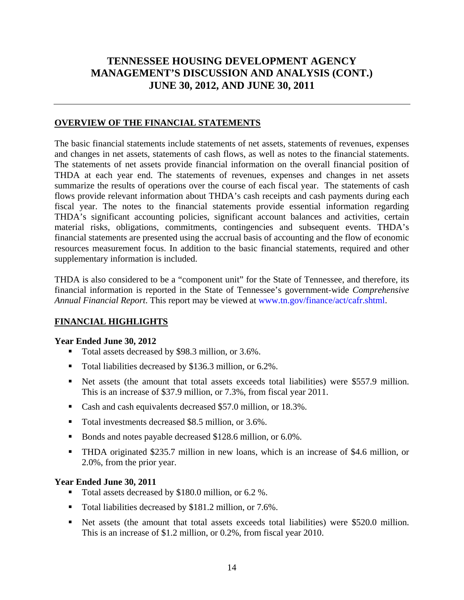#### **OVERVIEW OF THE FINANCIAL STATEMENTS**

The basic financial statements include statements of net assets, statements of revenues, expenses and changes in net assets, statements of cash flows, as well as notes to the financial statements. The statements of net assets provide financial information on the overall financial position of THDA at each year end. The statements of revenues, expenses and changes in net assets summarize the results of operations over the course of each fiscal year. The statements of cash flows provide relevant information about THDA's cash receipts and cash payments during each fiscal year. The notes to the financial statements provide essential information regarding THDA's significant accounting policies, significant account balances and activities, certain material risks, obligations, commitments, contingencies and subsequent events. THDA's financial statements are presented using the accrual basis of accounting and the flow of economic resources measurement focus. In addition to the basic financial statements, required and other supplementary information is included.

THDA is also considered to be a "component unit" for the State of Tennessee, and therefore, its financial information is reported in the State of Tennessee's government-wide *Comprehensive Annual Financial Report*. This report may be viewed at www.tn.gov/finance/act/cafr.shtml.

## **FINANCIAL HIGHLIGHTS**

#### **Year Ended June 30, 2012**

- Total assets decreased by \$98.3 million, or 3.6%.
- Total liabilities decreased by \$136.3 million, or 6.2%.
- Net assets (the amount that total assets exceeds total liabilities) were \$557.9 million. This is an increase of \$37.9 million, or 7.3%, from fiscal year 2011.
- Cash and cash equivalents decreased \$57.0 million, or 18.3%.
- Total investments decreased \$8.5 million, or 3.6%.
- Bonds and notes payable decreased \$128.6 million, or 6.0%.
- THDA originated \$235.7 million in new loans, which is an increase of \$4.6 million, or 2.0%, from the prior year.

#### **Year Ended June 30, 2011**

- Total assets decreased by \$180.0 million, or 6.2 %.
- Total liabilities decreased by \$181.2 million, or 7.6%.
- Net assets (the amount that total assets exceeds total liabilities) were \$520.0 million. This is an increase of \$1.2 million, or 0.2%, from fiscal year 2010.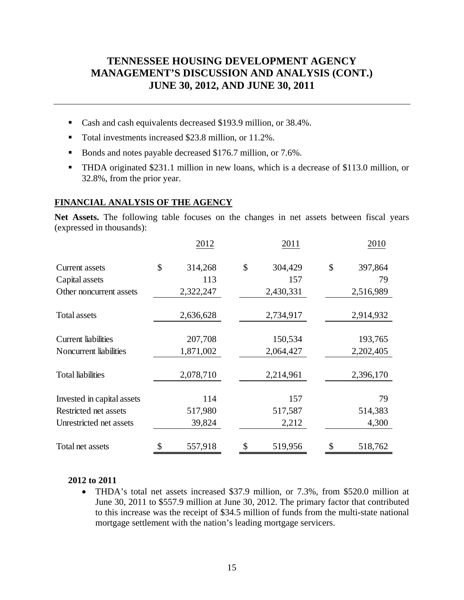- Cash and cash equivalents decreased \$193.9 million, or 38.4%.
- Total investments increased \$23.8 million, or 11.2%.
- Bonds and notes payable decreased \$176.7 million, or 7.6%.
- THDA originated \$231.1 million in new loans, which is a decrease of \$113.0 million, or 32.8%, from the prior year.

#### **FINANCIAL ANALYSIS OF THE AGENCY**

**Net Assets.** The following table focuses on the changes in net assets between fiscal years (expressed in thousands):

|                            | 2012          |       | 2011      | 2010          |
|----------------------------|---------------|-------|-----------|---------------|
| <b>Current assets</b>      | \$<br>314,268 | \$    | 304,429   | \$<br>397,864 |
| Capital assets             | 113           |       | 157       | 79            |
| Other noncurrent assets    | 2,322,247     |       | 2,430,331 | 2,516,989     |
|                            |               |       |           |               |
| <b>Total assets</b>        | 2,636,628     |       | 2,734,917 | 2,914,932     |
| <b>Current liabilities</b> | 207,708       |       | 150,534   | 193,765       |
| Noncurrent liabilities     | 1,871,002     |       | 2,064,427 | 2,202,405     |
|                            |               |       |           |               |
| <b>Total liabilities</b>   | 2,078,710     |       | 2,214,961 | 2,396,170     |
| Invested in capital assets | 114           |       | 157       | 79            |
| Restricted net assets      | 517,980       |       | 517,587   | 514,383       |
| Unrestricted net assets    | 39,824        | 2,212 |           | 4,300         |
| Total net assets           | 557,918       |       | 519,956   | 518,762       |
|                            | \$            | \$    |           | \$            |

#### **2012 to 2011**

 THDA's total net assets increased \$37.9 million, or 7.3%, from \$520.0 million at June 30, 2011 to \$557.9 million at June 30, 2012. The primary factor that contributed to this increase was the receipt of \$34.5 million of funds from the multi-state national mortgage settlement with the nation's leading mortgage servicers.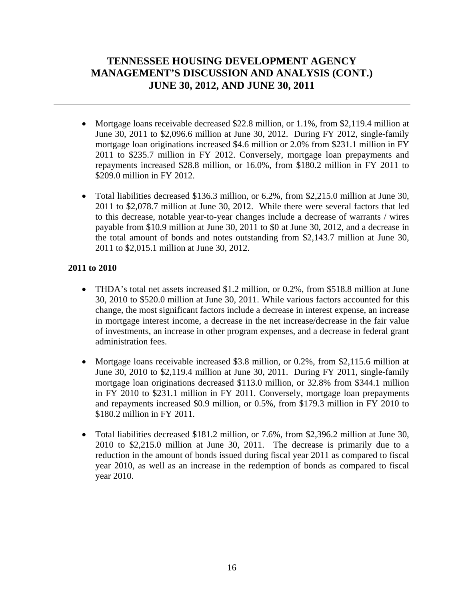- Mortgage loans receivable decreased \$22.8 million, or 1.1%, from \$2,119.4 million at June 30, 2011 to \$2,096.6 million at June 30, 2012. During FY 2012, single-family mortgage loan originations increased \$4.6 million or 2.0% from \$231.1 million in FY 2011 to \$235.7 million in FY 2012. Conversely, mortgage loan prepayments and repayments increased \$28.8 million, or 16.0%, from \$180.2 million in FY 2011 to \$209.0 million in FY 2012.
- Total liabilities decreased \$136.3 million, or 6.2%, from \$2,215.0 million at June 30, 2011 to \$2,078.7 million at June 30, 2012. While there were several factors that led to this decrease, notable year-to-year changes include a decrease of warrants / wires payable from \$10.9 million at June 30, 2011 to \$0 at June 30, 2012, and a decrease in the total amount of bonds and notes outstanding from \$2,143.7 million at June 30, 2011 to \$2,015.1 million at June 30, 2012.

## **2011 to 2010**

- THDA's total net assets increased \$1.2 million, or 0.2%, from \$518.8 million at June 30, 2010 to \$520.0 million at June 30, 2011. While various factors accounted for this change, the most significant factors include a decrease in interest expense, an increase in mortgage interest income, a decrease in the net increase/decrease in the fair value of investments, an increase in other program expenses, and a decrease in federal grant administration fees.
- Mortgage loans receivable increased \$3.8 million, or 0.2%, from \$2,115.6 million at June 30, 2010 to \$2,119.4 million at June 30, 2011. During FY 2011, single-family mortgage loan originations decreased \$113.0 million, or 32.8% from \$344.1 million in FY 2010 to \$231.1 million in FY 2011. Conversely, mortgage loan prepayments and repayments increased \$0.9 million, or 0.5%, from \$179.3 million in FY 2010 to \$180.2 million in FY 2011.
- Total liabilities decreased \$181.2 million, or 7.6%, from \$2,396.2 million at June 30, 2010 to \$2,215.0 million at June 30, 2011. The decrease is primarily due to a reduction in the amount of bonds issued during fiscal year 2011 as compared to fiscal year 2010, as well as an increase in the redemption of bonds as compared to fiscal year 2010.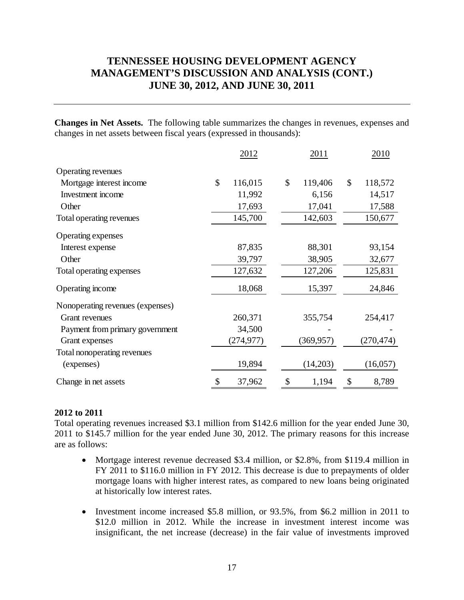**Changes in Net Assets.** The following table summarizes the changes in revenues, expenses and changes in net assets between fiscal years (expressed in thousands):

|                                  | 2012          | 2011          | 2010          |
|----------------------------------|---------------|---------------|---------------|
| Operating revenues               |               |               |               |
| Mortgage interest income         | \$<br>116,015 | \$<br>119,406 | \$<br>118,572 |
| Investment income                | 11,992        | 6,156         | 14,517        |
| Other                            | 17,693        | 17,041        | 17,588        |
| Total operating revenues         | 145,700       | 142,603       | 150,677       |
| Operating expenses               |               |               |               |
| Interest expense                 | 87,835        | 88,301        | 93,154        |
| Other                            | 39,797        | 38,905        | 32,677        |
| Total operating expenses         | 127,632       | 127,206       | 125,831       |
| Operating income                 | 18,068        | 15,397        | 24,846        |
| Nonoperating revenues (expenses) |               |               |               |
| Grant revenues                   | 260,371       | 355,754       | 254,417       |
| Payment from primary government  | 34,500        |               |               |
| Grant expenses                   | (274, 977)    | (369, 957)    | (270, 474)    |
| Total nonoperating revenues      |               |               |               |
| (expenses)                       | 19,894        | (14,203)      | (16,057)      |
| Change in net assets             | \$<br>37,962  | \$<br>1,194   | \$<br>8,789   |

## **2012 to 2011**

Total operating revenues increased \$3.1 million from \$142.6 million for the year ended June 30, 2011 to \$145.7 million for the year ended June 30, 2012. The primary reasons for this increase are as follows:

- Mortgage interest revenue decreased \$3.4 million, or \$2.8%, from \$119.4 million in FY 2011 to \$116.0 million in FY 2012. This decrease is due to prepayments of older mortgage loans with higher interest rates, as compared to new loans being originated at historically low interest rates.
- Investment income increased \$5.8 million, or 93.5%, from \$6.2 million in 2011 to \$12.0 million in 2012. While the increase in investment interest income was insignificant, the net increase (decrease) in the fair value of investments improved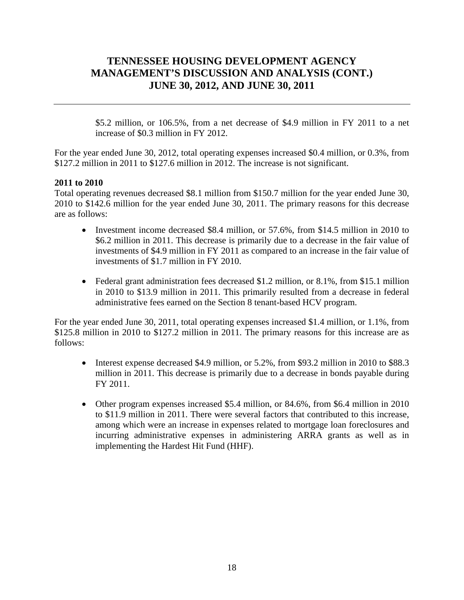\$5.2 million, or 106.5%, from a net decrease of \$4.9 million in FY 2011 to a net increase of \$0.3 million in FY 2012.

For the year ended June 30, 2012, total operating expenses increased \$0.4 million, or 0.3%, from \$127.2 million in 2011 to \$127.6 million in 2012. The increase is not significant.

### **2011 to 2010**

Total operating revenues decreased \$8.1 million from \$150.7 million for the year ended June 30, 2010 to \$142.6 million for the year ended June 30, 2011. The primary reasons for this decrease are as follows:

- Investment income decreased \$8.4 million, or 57.6%, from \$14.5 million in 2010 to \$6.2 million in 2011. This decrease is primarily due to a decrease in the fair value of investments of \$4.9 million in FY 2011 as compared to an increase in the fair value of investments of \$1.7 million in FY 2010.
- Federal grant administration fees decreased \$1.2 million, or 8.1%, from \$15.1 million in 2010 to \$13.9 million in 2011. This primarily resulted from a decrease in federal administrative fees earned on the Section 8 tenant-based HCV program.

For the year ended June 30, 2011, total operating expenses increased \$1.4 million, or 1.1%, from \$125.8 million in 2010 to \$127.2 million in 2011. The primary reasons for this increase are as follows:

- Interest expense decreased \$4.9 million, or  $5.2\%$ , from \$93.2 million in 2010 to \$88.3 million in 2011. This decrease is primarily due to a decrease in bonds payable during FY 2011.
- Other program expenses increased \$5.4 million, or 84.6%, from \$6.4 million in 2010 to \$11.9 million in 2011. There were several factors that contributed to this increase, among which were an increase in expenses related to mortgage loan foreclosures and incurring administrative expenses in administering ARRA grants as well as in implementing the Hardest Hit Fund (HHF).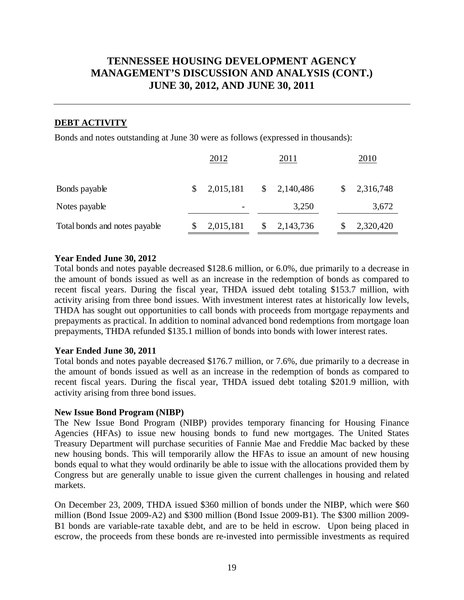### **DEBT ACTIVITY**

Bonds and notes outstanding at June 30 were as follows (expressed in thousands):

|                               |   | 2012      | 2011            |  | <u> 2010</u> |
|-------------------------------|---|-----------|-----------------|--|--------------|
| Bonds payable                 | S | 2,015,181 | \$<br>2,140,486 |  | 2,316,748    |
| Notes payable                 |   |           | 3,250           |  | 3,672        |
| Total bonds and notes payable |   | 2,015,181 | 2,143,736       |  | 2,320,420    |

#### **Year Ended June 30, 2012**

Total bonds and notes payable decreased \$128.6 million, or 6.0%, due primarily to a decrease in the amount of bonds issued as well as an increase in the redemption of bonds as compared to recent fiscal years. During the fiscal year, THDA issued debt totaling \$153.7 million, with activity arising from three bond issues. With investment interest rates at historically low levels, THDA has sought out opportunities to call bonds with proceeds from mortgage repayments and prepayments as practical. In addition to nominal advanced bond redemptions from mortgage loan prepayments, THDA refunded \$135.1 million of bonds into bonds with lower interest rates.

#### **Year Ended June 30, 2011**

Total bonds and notes payable decreased \$176.7 million, or 7.6%, due primarily to a decrease in the amount of bonds issued as well as an increase in the redemption of bonds as compared to recent fiscal years. During the fiscal year, THDA issued debt totaling \$201.9 million, with activity arising from three bond issues.

#### **New Issue Bond Program (NIBP)**

The New Issue Bond Program (NIBP) provides temporary financing for Housing Finance Agencies (HFAs) to issue new housing bonds to fund new mortgages. The United States Treasury Department will purchase securities of Fannie Mae and Freddie Mac backed by these new housing bonds. This will temporarily allow the HFAs to issue an amount of new housing bonds equal to what they would ordinarily be able to issue with the allocations provided them by Congress but are generally unable to issue given the current challenges in housing and related markets.

On December 23, 2009, THDA issued \$360 million of bonds under the NIBP, which were \$60 million (Bond Issue 2009-A2) and \$300 million (Bond Issue 2009-B1). The \$300 million 2009- B1 bonds are variable-rate taxable debt, and are to be held in escrow. Upon being placed in escrow, the proceeds from these bonds are re-invested into permissible investments as required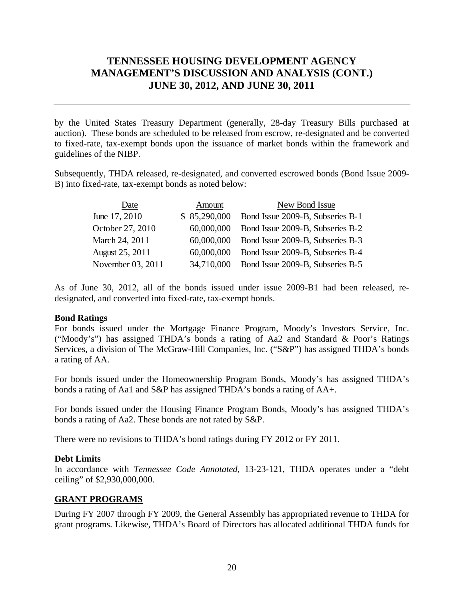by the United States Treasury Department (generally, 28-day Treasury Bills purchased at auction). These bonds are scheduled to be released from escrow, re-designated and be converted to fixed-rate, tax-exempt bonds upon the issuance of market bonds within the framework and guidelines of the NIBP.

Subsequently, THDA released, re-designated, and converted escrowed bonds (Bond Issue 2009- B) into fixed-rate, tax-exempt bonds as noted below:

| Date              | Amount       | New Bond Issue                   |
|-------------------|--------------|----------------------------------|
| June 17, 2010     | \$85,290,000 | Bond Issue 2009-B, Subseries B-1 |
| October 27, 2010  | 60,000,000   | Bond Issue 2009-B, Subseries B-2 |
| March 24, 2011    | 60,000,000   | Bond Issue 2009-B, Subseries B-3 |
| August 25, 2011   | 60,000,000   | Bond Issue 2009-B, Subseries B-4 |
| November 03, 2011 | 34,710,000   | Bond Issue 2009-B, Subseries B-5 |

As of June 30, 2012, all of the bonds issued under issue 2009-B1 had been released, redesignated, and converted into fixed-rate, tax-exempt bonds.

#### **Bond Ratings**

For bonds issued under the Mortgage Finance Program, Moody's Investors Service, Inc. ("Moody's") has assigned THDA's bonds a rating of Aa2 and Standard & Poor's Ratings Services, a division of The McGraw-Hill Companies, Inc. ("S&P") has assigned THDA's bonds a rating of AA.

For bonds issued under the Homeownership Program Bonds, Moody's has assigned THDA's bonds a rating of Aa1 and S&P has assigned THDA's bonds a rating of AA+.

For bonds issued under the Housing Finance Program Bonds, Moody's has assigned THDA's bonds a rating of Aa2. These bonds are not rated by S&P.

There were no revisions to THDA's bond ratings during FY 2012 or FY 2011.

#### **Debt Limits**

In accordance with *Tennessee Code Annotated,* 13-23-121, THDA operates under a "debt ceiling" of \$2,930,000,000.

#### **GRANT PROGRAMS**

During FY 2007 through FY 2009, the General Assembly has appropriated revenue to THDA for grant programs. Likewise, THDA's Board of Directors has allocated additional THDA funds for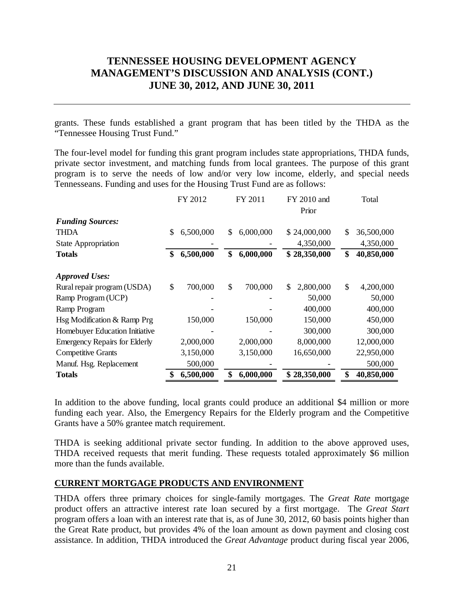grants. These funds established a grant program that has been titled by the THDA as the "Tennessee Housing Trust Fund."

The four-level model for funding this grant program includes state appropriations, THDA funds, private sector investment, and matching funds from local grantees. The purpose of this grant program is to serve the needs of low and/or very low income, elderly, and special needs Tennesseans. Funding and uses for the Housing Trust Fund are as follows:

|                                      | FY 2012 |           | FY 2011         |    | FY 2010 and  |    | Total      |  |
|--------------------------------------|---------|-----------|-----------------|----|--------------|----|------------|--|
|                                      |         |           |                 |    | Prior        |    |            |  |
| <b>Funding Sources:</b>              |         |           |                 |    |              |    |            |  |
| THDA                                 | \$      | 6,500,000 | \$<br>6,000,000 |    | \$24,000,000 | \$ | 36,500,000 |  |
| <b>State Appropriation</b>           |         |           |                 |    | 4,350,000    |    | 4,350,000  |  |
| <b>Totals</b>                        | \$      | 6,500,000 | \$<br>6,000,000 |    | \$28,350,000 | \$ | 40,850,000 |  |
| <b>Approved Uses:</b>                |         |           |                 |    |              |    |            |  |
| Rural repair program (USDA)          | \$      | 700,000   | \$<br>700,000   | \$ | 2,800,000    | \$ | 4,200,000  |  |
| Ramp Program (UCP)                   |         |           |                 |    | 50,000       |    | 50,000     |  |
| Ramp Program                         |         |           |                 |    | 400,000      |    | 400,000    |  |
| Hsg Modification & Ramp Prg          |         | 150,000   | 150,000         |    | 150,000      |    | 450,000    |  |
| Homebuyer Education Initiative       |         |           |                 |    | 300,000      |    | 300,000    |  |
| <b>Emergency Repairs for Elderly</b> |         | 2,000,000 | 2,000,000       |    | 8,000,000    |    | 12,000,000 |  |
| <b>Competitive Grants</b>            |         | 3,150,000 | 3,150,000       |    | 16,650,000   |    | 22,950,000 |  |
| Manuf. Hsg. Replacement              |         | 500,000   |                 |    |              |    | 500,000    |  |
| <b>Totals</b>                        | \$      | 6,500,000 | \$<br>6,000,000 |    | \$28,350,000 | \$ | 40,850,000 |  |

In addition to the above funding, local grants could produce an additional \$4 million or more funding each year. Also, the Emergency Repairs for the Elderly program and the Competitive Grants have a 50% grantee match requirement.

THDA is seeking additional private sector funding. In addition to the above approved uses, THDA received requests that merit funding. These requests totaled approximately \$6 million more than the funds available.

## **CURRENT MORTGAGE PRODUCTS AND ENVIRONMENT**

THDA offers three primary choices for single-family mortgages. The *Great Rate* mortgage product offers an attractive interest rate loan secured by a first mortgage. The *Great Start* program offers a loan with an interest rate that is, as of June 30, 2012, 60 basis points higher than the Great Rate product, but provides 4% of the loan amount as down payment and closing cost assistance. In addition, THDA introduced the *Great Advantage* product during fiscal year 2006,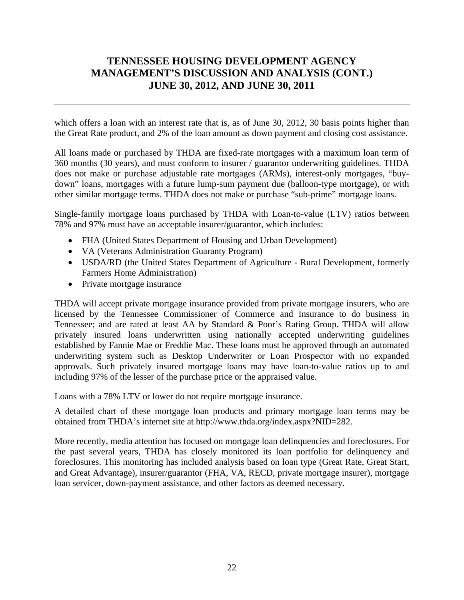which offers a loan with an interest rate that is, as of June 30, 2012, 30 basis points higher than the Great Rate product, and 2% of the loan amount as down payment and closing cost assistance.

All loans made or purchased by THDA are fixed-rate mortgages with a maximum loan term of 360 months (30 years), and must conform to insurer / guarantor underwriting guidelines. THDA does not make or purchase adjustable rate mortgages (ARMs), interest-only mortgages, "buydown" loans, mortgages with a future lump-sum payment due (balloon-type mortgage), or with other similar mortgage terms. THDA does not make or purchase "sub-prime" mortgage loans.

Single-family mortgage loans purchased by THDA with Loan-to-value (LTV) ratios between 78% and 97% must have an acceptable insurer/guarantor, which includes:

- FHA (United States Department of Housing and Urban Development)
- VA (Veterans Administration Guaranty Program)
- USDA/RD (the United States Department of Agriculture Rural Development, formerly Farmers Home Administration)
- Private mortgage insurance

THDA will accept private mortgage insurance provided from private mortgage insurers, who are licensed by the Tennessee Commissioner of Commerce and Insurance to do business in Tennessee; and are rated at least AA by Standard & Poor's Rating Group. THDA will allow privately insured loans underwritten using nationally accepted underwriting guidelines established by Fannie Mae or Freddie Mac. These loans must be approved through an automated underwriting system such as Desktop Underwriter or Loan Prospector with no expanded approvals. Such privately insured mortgage loans may have loan-to-value ratios up to and including 97% of the lesser of the purchase price or the appraised value.

Loans with a 78% LTV or lower do not require mortgage insurance.

A detailed chart of these mortgage loan products and primary mortgage loan terms may be obtained from THDA's internet site at http://www.thda.org/index.aspx?NID=282.

More recently, media attention has focused on mortgage loan delinquencies and foreclosures. For the past several years, THDA has closely monitored its loan portfolio for delinquency and foreclosures. This monitoring has included analysis based on loan type (Great Rate, Great Start, and Great Advantage), insurer/guarantor (FHA, VA, RECD, private mortgage insurer), mortgage loan servicer, down-payment assistance, and other factors as deemed necessary.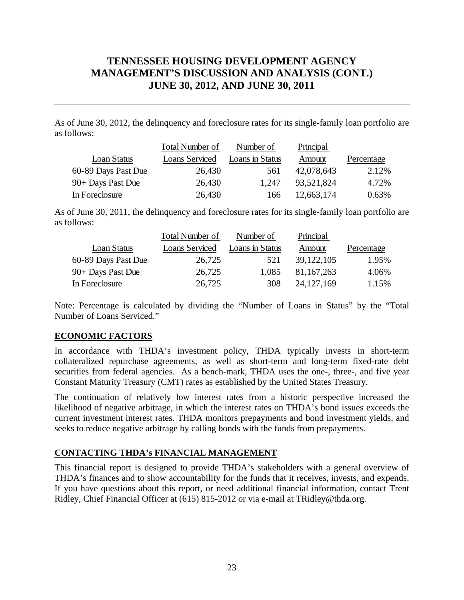As of June 30, 2012, the delinquency and foreclosure rates for its single-family loan portfolio are as follows:

|                     | <b>Total Number of</b> | Number of       | Principal  |            |
|---------------------|------------------------|-----------------|------------|------------|
| Loan Status         | Loans Serviced         | Loans in Status | Amount     | Percentage |
| 60-89 Days Past Due | 26,430                 | 561             | 42,078,643 | 2.12%      |
| 90+ Days Past Due   | 26,430                 | 1.247           | 93,521,824 | 4.72%      |
| In Foreclosure      | 26,430                 | 166             | 12,663,174 | 0.63%      |

As of June 30, 2011, the delinquency and foreclosure rates for its single-family loan portfolio are as follows:

|                     | Total Number of | Number of       | Principal    |            |
|---------------------|-----------------|-----------------|--------------|------------|
| Loan Status         | Loans Serviced  | Loans in Status | Amount       | Percentage |
| 60-89 Days Past Due | 26,725          | 521             | 39, 122, 105 | 1.95%      |
| 90+ Days Past Due   | 26,725          | 1,085           | 81,167,263   | 4.06%      |
| In Foreclosure      | 26,725          | 308             | 24, 127, 169 | 1.15%      |

Note: Percentage is calculated by dividing the "Number of Loans in Status" by the "Total Number of Loans Serviced."

## **ECONOMIC FACTORS**

In accordance with THDA's investment policy, THDA typically invests in short-term collateralized repurchase agreements, as well as short-term and long-term fixed-rate debt securities from federal agencies. As a bench-mark, THDA uses the one-, three-, and five year Constant Maturity Treasury (CMT) rates as established by the United States Treasury.

The continuation of relatively low interest rates from a historic perspective increased the likelihood of negative arbitrage, in which the interest rates on THDA's bond issues exceeds the current investment interest rates. THDA monitors prepayments and bond investment yields, and seeks to reduce negative arbitrage by calling bonds with the funds from prepayments.

## **CONTACTING THDA's FINANCIAL MANAGEMENT**

This financial report is designed to provide THDA's stakeholders with a general overview of THDA's finances and to show accountability for the funds that it receives, invests, and expends. If you have questions about this report, or need additional financial information, contact Trent Ridley, Chief Financial Officer at (615) 815-2012 or via e-mail at TRidley@thda.org.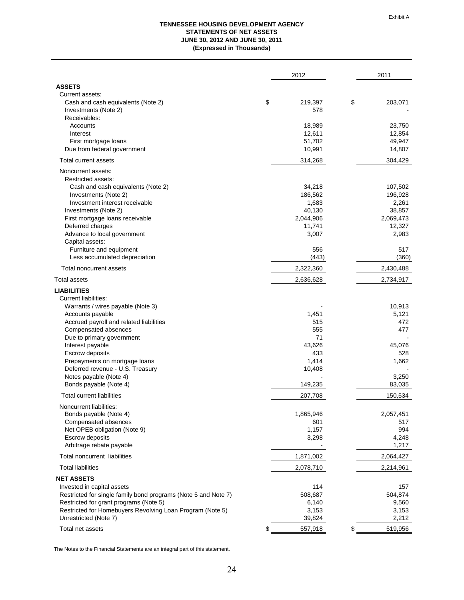#### **TENNESSEE HOUSING DEVELOPMENT AGENCY STATEMENTS OF NET ASSETS JUNE 30, 2012 AND JUNE 30, 2011 (Expressed in Thousands)**

|                                                                            | 2012                 | 2011            |
|----------------------------------------------------------------------------|----------------------|-----------------|
| <b>ASSETS</b>                                                              |                      |                 |
| Current assets:                                                            |                      |                 |
| Cash and cash equivalents (Note 2)<br>Investments (Note 2)<br>Receivables: | \$<br>219,397<br>578 | \$<br>203,071   |
| Accounts                                                                   | 18,989               | 23,750          |
| Interest                                                                   | 12,611               | 12,854          |
| First mortgage loans                                                       | 51,702               | 49,947          |
| Due from federal government                                                | 10,991               | 14,807          |
| Total current assets                                                       | 314,268              | 304,429         |
| Noncurrent assets:                                                         |                      |                 |
| Restricted assets:                                                         |                      |                 |
| Cash and cash equivalents (Note 2)                                         | 34,218               | 107,502         |
| Investments (Note 2)                                                       | 186,562              | 196,928         |
| Investment interest receivable                                             | 1,683                | 2,261           |
| Investments (Note 2)                                                       | 40,130               | 38,857          |
| First mortgage loans receivable                                            | 2,044,906            | 2,069,473       |
| Deferred charges                                                           | 11,741               | 12,327          |
| Advance to local government<br>Capital assets:                             | 3,007                | 2,983           |
| Furniture and equipment                                                    | 556                  | 517             |
| Less accumulated depreciation                                              | (443)                | (360)           |
| Total noncurrent assets                                                    | 2,322,360            | 2,430,488       |
| <b>Total assets</b>                                                        | 2,636,628            | 2,734,917       |
| <b>LIABILITIES</b>                                                         |                      |                 |
| Current liabilities:                                                       |                      |                 |
| Warrants / wires payable (Note 3)                                          |                      | 10,913          |
| Accounts payable                                                           | 1,451                | 5,121           |
| Accrued payroll and related liabilities                                    | 515                  | 472             |
| Compensated absences                                                       | 555                  | 477             |
| Due to primary government                                                  | 71                   |                 |
| Interest payable                                                           | 43,626               | 45,076          |
| Escrow deposits                                                            | 433                  | 528             |
| Prepayments on mortgage loans                                              | 1,414                | 1,662           |
| Deferred revenue - U.S. Treasury                                           | 10,408               |                 |
| Notes payable (Note 4)<br>Bonds payable (Note 4)                           | 149,235              | 3,250<br>83,035 |
| <b>Total current liabilities</b>                                           | 207,708              | 150,534         |
| Noncurrent liabilities:                                                    |                      |                 |
| Bonds payable (Note 4)                                                     | 1,865,946            | 2,057,451       |
| Compensated absences                                                       | 601                  | 517             |
| Net OPEB obligation (Note 9)                                               | 1,157                | 994             |
| Escrow deposits                                                            | 3,298                | 4,248           |
| Arbitrage rebate payable                                                   |                      | 1,217           |
| Total noncurrent liabilities                                               | 1,871,002            | 2,064,427       |
| <b>Total liabilities</b>                                                   | 2,078,710            | 2,214,961       |
| <b>NET ASSETS</b>                                                          |                      |                 |
| Invested in capital assets                                                 | 114                  | 157             |
| Restricted for single family bond programs (Note 5 and Note 7)             | 508,687              | 504,874         |
| Restricted for grant programs (Note 5)                                     | 6,140                | 9,560           |
| Restricted for Homebuyers Revolving Loan Program (Note 5)                  | 3,153                | 3,153           |
| Unrestricted (Note 7)                                                      | 39,824               | 2,212           |
| Total net assets                                                           | \$<br>557,918        | \$<br>519,956   |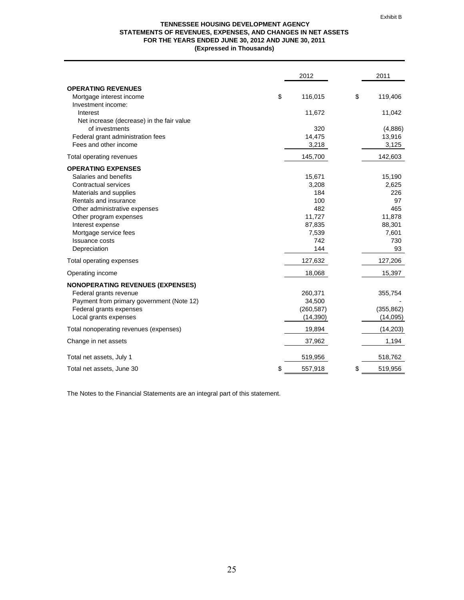#### **(Expressed in Thousands) TENNESSEE HOUSING DEVELOPMENT AGENCY STATEMENTS OF REVENUES, EXPENSES, AND CHANGES IN NET ASSETS FOR THE YEARS ENDED JUNE 30, 2012 AND JUNE 30, 2011**

|                                                                             | 2012          | 2011          |
|-----------------------------------------------------------------------------|---------------|---------------|
| <b>OPERATING REVENUES</b><br>Mortgage interest income<br>Investment income: | \$<br>116,015 | \$<br>119,406 |
| Interest<br>Net increase (decrease) in the fair value                       | 11,672        | 11,042        |
| of investments                                                              | 320           | (4,886)       |
| Federal grant administration fees                                           | 14,475        | 13,916        |
| Fees and other income                                                       | 3,218         | 3,125         |
| Total operating revenues                                                    | 145,700       | 142,603       |
| <b>OPERATING EXPENSES</b>                                                   |               |               |
| Salaries and benefits                                                       | 15,671        | 15,190        |
| Contractual services                                                        | 3,208         | 2,625         |
| Materials and supplies                                                      | 184           | 226           |
| Rentals and insurance                                                       | 100           | 97            |
| Other administrative expenses                                               | 482           | 465           |
| Other program expenses                                                      | 11,727        | 11,878        |
| Interest expense                                                            | 87,835        | 88,301        |
| Mortgage service fees                                                       | 7,539         | 7,601         |
| <b>Issuance costs</b>                                                       | 742           | 730           |
| Depreciation                                                                | 144           | 93            |
| Total operating expenses                                                    | 127,632       | 127,206       |
| Operating income                                                            | 18,068        | 15,397        |
| <b>NONOPERATING REVENUES (EXPENSES)</b>                                     |               |               |
| Federal grants revenue                                                      | 260,371       | 355,754       |
| Payment from primary government (Note 12)                                   | 34,500        |               |
| Federal grants expenses                                                     | (260, 587)    | (355, 862)    |
| Local grants expenses                                                       | (14, 390)     | (14,095)      |
| Total nonoperating revenues (expenses)                                      | 19,894        | (14,203)      |
| Change in net assets                                                        | 37,962        | 1,194         |
| Total net assets, July 1                                                    | 519,956       | 518,762       |
| Total net assets, June 30                                                   | \$<br>557,918 | \$<br>519,956 |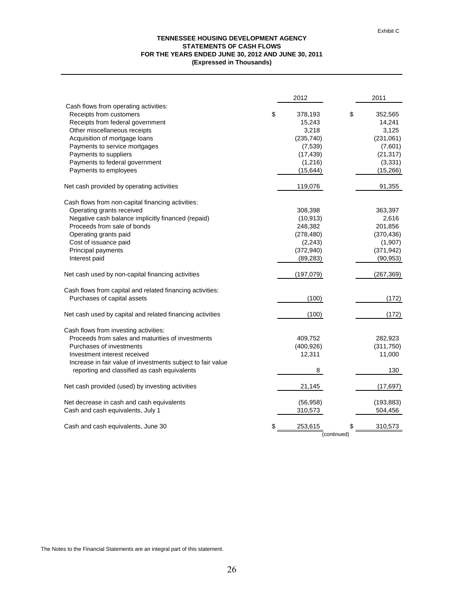#### **TENNESSEE HOUSING DEVELOPMENT AGENCY STATEMENTS OF CASH FLOWS FOR THE YEARS ENDED JUNE 30, 2012 AND JUNE 30, 2011 (Expressed in Thousands)**

|                                                             | 2012          |             | 2011       |
|-------------------------------------------------------------|---------------|-------------|------------|
| Cash flows from operating activities:                       |               |             |            |
| Receipts from customers                                     | \$<br>378,193 | \$          | 352,565    |
| Receipts from federal government                            | 15,243        |             | 14,241     |
| Other miscellaneous receipts                                | 3,218         |             | 3,125      |
| Acquisition of mortgage loans                               | (235, 740)    |             | (231,061)  |
| Payments to service mortgages                               | (7,539)       |             | (7,601)    |
| Payments to suppliers                                       | (17, 439)     |             | (21, 317)  |
| Payments to federal government                              | (1,216)       |             | (3,331)    |
| Payments to employees                                       | (15, 644)     |             | (15,266)   |
| Net cash provided by operating activities                   | 119,076       |             | 91,355     |
| Cash flows from non-capital financing activities:           |               |             |            |
| Operating grants received                                   | 308,398       |             | 363,397    |
| Negative cash balance implicitly financed (repaid)          | (10, 913)     |             | 2,616      |
| Proceeds from sale of bonds                                 | 248,382       |             | 201,856    |
| Operating grants paid                                       | (278, 480)    |             | (370, 436) |
| Cost of issuance paid                                       | (2, 243)      |             | (1,907)    |
| Principal payments                                          | (372, 940)    |             | (371, 942) |
| Interest paid                                               | (89, 283)     |             | (90, 953)  |
| Net cash used by non-capital financing activities           | (197,079)     |             | (267, 369) |
| Cash flows from capital and related financing activities:   |               |             |            |
| Purchases of capital assets                                 | (100)         |             | (172)      |
| Net cash used by capital and related financing activities   | (100)         |             | (172)      |
| Cash flows from investing activities:                       |               |             |            |
| Proceeds from sales and maturities of investments           | 409,752       |             | 282,923    |
| Purchases of investments                                    | (400, 926)    |             | (311,750)  |
| Investment interest received                                | 12,311        |             | 11,000     |
| Increase in fair value of investments subject to fair value |               |             |            |
| reporting and classified as cash equivalents                | 8             |             | 130        |
| Net cash provided (used) by investing activities            | 21,145        |             | (17, 697)  |
| Net decrease in cash and cash equivalents                   | (56, 958)     |             | (193, 883) |
| Cash and cash equivalents, July 1                           | 310,573       |             | 504,456    |
| Cash and cash equivalents, June 30                          | \$<br>253,615 | \$          | 310,573    |
|                                                             |               | (continued) |            |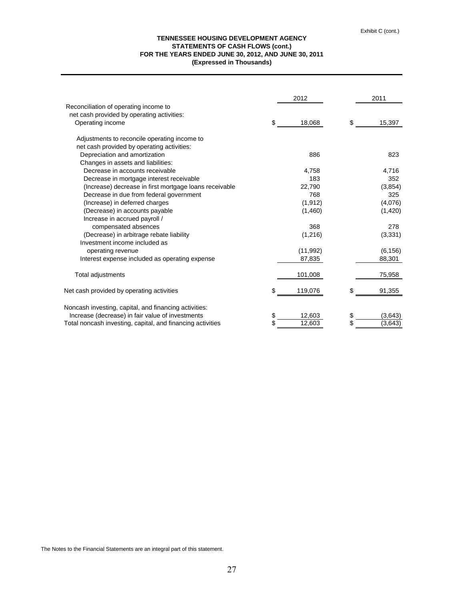#### **FOR THE YEARS ENDED JUNE 30, 2012, AND JUNE 30, 2011 (Expressed in Thousands) TENNESSEE HOUSING DEVELOPMENT AGENCY STATEMENTS OF CASH FLOWS (cont.)**

|                                                            | 2012          | 2011          |
|------------------------------------------------------------|---------------|---------------|
| Reconciliation of operating income to                      |               |               |
| net cash provided by operating activities:                 |               |               |
| Operating income                                           | \$<br>18,068  | \$<br>15,397  |
| Adjustments to reconcile operating income to               |               |               |
| net cash provided by operating activities:                 |               |               |
| Depreciation and amortization                              | 886           | 823           |
| Changes in assets and liabilities:                         |               |               |
| Decrease in accounts receivable                            | 4,758         | 4,716         |
| Decrease in mortgage interest receivable                   | 183           | 352           |
| (Increase) decrease in first mortgage loans receivable     | 22,790        | (3, 854)      |
| Decrease in due from federal government                    | 768           | 325           |
| (Increase) in deferred charges                             | (1, 912)      | (4,076)       |
| (Decrease) in accounts payable                             | (1,460)       | (1,420)       |
| Increase in accrued payroll /                              |               |               |
| compensated absences                                       | 368           | 278           |
| (Decrease) in arbitrage rebate liability                   | (1,216)       | (3,331)       |
| Investment income included as                              |               |               |
| operating revenue                                          | (11, 992)     | (6, 156)      |
| Interest expense included as operating expense             | 87,835        | 88,301        |
| Total adjustments                                          | 101,008       | 75,958        |
| Net cash provided by operating activities                  | \$<br>119,076 | \$<br>91,355  |
|                                                            |               |               |
| Noncash investing, capital, and financing activities:      |               |               |
| Increase (decrease) in fair value of investments           | \$<br>12,603  | \$<br>(3,643) |
| Total noncash investing, capital, and financing activities | \$<br>12,603  | \$<br>(3,643) |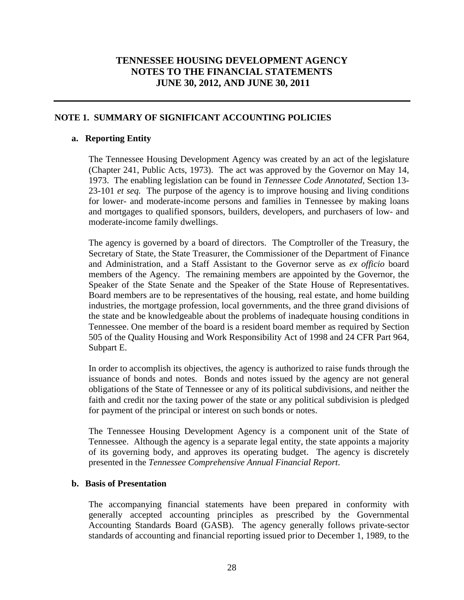## **NOTE 1. SUMMARY OF SIGNIFICANT ACCOUNTING POLICIES**

#### **a. Reporting Entity**

The Tennessee Housing Development Agency was created by an act of the legislature (Chapter 241, Public Acts, 1973). The act was approved by the Governor on May 14, 1973. The enabling legislation can be found in *Tennessee Code Annotated*, Section 13- 23-101 *et seq.* The purpose of the agency is to improve housing and living conditions for lower- and moderate-income persons and families in Tennessee by making loans and mortgages to qualified sponsors, builders, developers, and purchasers of low- and moderate-income family dwellings.

The agency is governed by a board of directors. The Comptroller of the Treasury, the Secretary of State, the State Treasurer, the Commissioner of the Department of Finance and Administration, and a Staff Assistant to the Governor serve as *ex officio* board members of the Agency. The remaining members are appointed by the Governor, the Speaker of the State Senate and the Speaker of the State House of Representatives. Board members are to be representatives of the housing, real estate, and home building industries, the mortgage profession, local governments, and the three grand divisions of the state and be knowledgeable about the problems of inadequate housing conditions in Tennessee. One member of the board is a resident board member as required by Section 505 of the Quality Housing and Work Responsibility Act of 1998 and 24 CFR Part 964, Subpart E.

In order to accomplish its objectives, the agency is authorized to raise funds through the issuance of bonds and notes. Bonds and notes issued by the agency are not general obligations of the State of Tennessee or any of its political subdivisions, and neither the faith and credit nor the taxing power of the state or any political subdivision is pledged for payment of the principal or interest on such bonds or notes.

The Tennessee Housing Development Agency is a component unit of the State of Tennessee. Although the agency is a separate legal entity, the state appoints a majority of its governing body, and approves its operating budget. The agency is discretely presented in the *Tennessee Comprehensive Annual Financial Report*.

#### **b. Basis of Presentation**

The accompanying financial statements have been prepared in conformity with generally accepted accounting principles as prescribed by the Governmental Accounting Standards Board (GASB). The agency generally follows private-sector standards of accounting and financial reporting issued prior to December 1, 1989, to the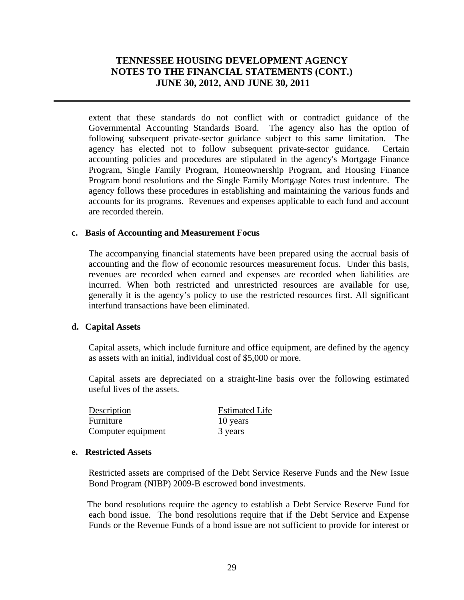extent that these standards do not conflict with or contradict guidance of the Governmental Accounting Standards Board. The agency also has the option of following subsequent private-sector guidance subject to this same limitation. The agency has elected not to follow subsequent private-sector guidance. Certain accounting policies and procedures are stipulated in the agency's Mortgage Finance Program, Single Family Program, Homeownership Program, and Housing Finance Program bond resolutions and the Single Family Mortgage Notes trust indenture. The agency follows these procedures in establishing and maintaining the various funds and accounts for its programs. Revenues and expenses applicable to each fund and account are recorded therein.

#### **c. Basis of Accounting and Measurement Focus**

 The accompanying financial statements have been prepared using the accrual basis of accounting and the flow of economic resources measurement focus. Under this basis, revenues are recorded when earned and expenses are recorded when liabilities are incurred. When both restricted and unrestricted resources are available for use, generally it is the agency's policy to use the restricted resources first. All significant interfund transactions have been eliminated.

#### **d. Capital Assets**

Capital assets, which include furniture and office equipment, are defined by the agency as assets with an initial, individual cost of \$5,000 or more.

Capital assets are depreciated on a straight-line basis over the following estimated useful lives of the assets.

| Description        | <b>Estimated Life</b> |
|--------------------|-----------------------|
| Furniture          | 10 years              |
| Computer equipment | 3 years               |

#### **e. Restricted Assets**

 Restricted assets are comprised of the Debt Service Reserve Funds and the New Issue Bond Program (NIBP) 2009-B escrowed bond investments.

The bond resolutions require the agency to establish a Debt Service Reserve Fund for each bond issue. The bond resolutions require that if the Debt Service and Expense Funds or the Revenue Funds of a bond issue are not sufficient to provide for interest or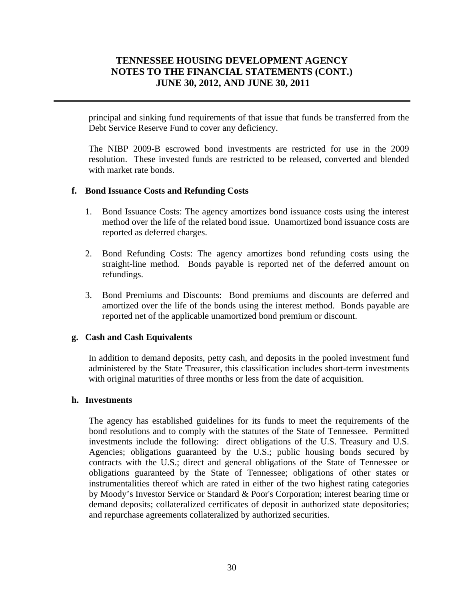principal and sinking fund requirements of that issue that funds be transferred from the Debt Service Reserve Fund to cover any deficiency.

 The NIBP 2009-B escrowed bond investments are restricted for use in the 2009 resolution. These invested funds are restricted to be released, converted and blended with market rate bonds.

#### **f. Bond Issuance Costs and Refunding Costs**

- 1. Bond Issuance Costs: The agency amortizes bond issuance costs using the interest method over the life of the related bond issue. Unamortized bond issuance costs are reported as deferred charges.
- 2. Bond Refunding Costs: The agency amortizes bond refunding costs using the straight-line method. Bonds payable is reported net of the deferred amount on refundings.
- 3. Bond Premiums and Discounts: Bond premiums and discounts are deferred and amortized over the life of the bonds using the interest method. Bonds payable are reported net of the applicable unamortized bond premium or discount.

## **g. Cash and Cash Equivalents**

 In addition to demand deposits, petty cash, and deposits in the pooled investment fund administered by the State Treasurer, this classification includes short-term investments with original maturities of three months or less from the date of acquisition.

#### **h. Investments**

The agency has established guidelines for its funds to meet the requirements of the bond resolutions and to comply with the statutes of the State of Tennessee. Permitted investments include the following: direct obligations of the U.S. Treasury and U.S. Agencies; obligations guaranteed by the U.S.; public housing bonds secured by contracts with the U.S.; direct and general obligations of the State of Tennessee or obligations guaranteed by the State of Tennessee; obligations of other states or instrumentalities thereof which are rated in either of the two highest rating categories by Moody's Investor Service or Standard & Poor's Corporation; interest bearing time or demand deposits; collateralized certificates of deposit in authorized state depositories; and repurchase agreements collateralized by authorized securities.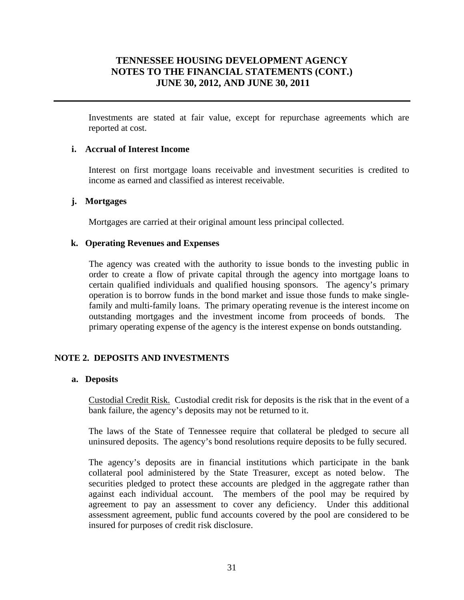Investments are stated at fair value, except for repurchase agreements which are reported at cost.

#### **i. Accrual of Interest Income**

 Interest on first mortgage loans receivable and investment securities is credited to income as earned and classified as interest receivable.

#### **j. Mortgages**

Mortgages are carried at their original amount less principal collected.

#### **k. Operating Revenues and Expenses**

 The agency was created with the authority to issue bonds to the investing public in order to create a flow of private capital through the agency into mortgage loans to certain qualified individuals and qualified housing sponsors. The agency's primary operation is to borrow funds in the bond market and issue those funds to make singlefamily and multi-family loans. The primary operating revenue is the interest income on outstanding mortgages and the investment income from proceeds of bonds. The primary operating expense of the agency is the interest expense on bonds outstanding.

#### **NOTE 2. DEPOSITS AND INVESTMENTS**

#### **a. Deposits**

Custodial Credit Risk. Custodial credit risk for deposits is the risk that in the event of a bank failure, the agency's deposits may not be returned to it.

The laws of the State of Tennessee require that collateral be pledged to secure all uninsured deposits. The agency's bond resolutions require deposits to be fully secured.

The agency's deposits are in financial institutions which participate in the bank collateral pool administered by the State Treasurer, except as noted below. The securities pledged to protect these accounts are pledged in the aggregate rather than against each individual account. The members of the pool may be required by agreement to pay an assessment to cover any deficiency. Under this additional assessment agreement, public fund accounts covered by the pool are considered to be insured for purposes of credit risk disclosure.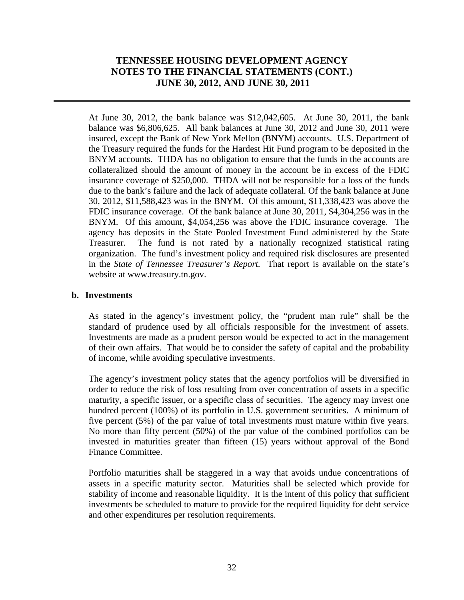At June 30, 2012, the bank balance was \$12,042,605. At June 30, 2011, the bank balance was \$6,806,625. All bank balances at June 30, 2012 and June 30, 2011 were insured, except the Bank of New York Mellon (BNYM) accounts. U.S. Department of the Treasury required the funds for the Hardest Hit Fund program to be deposited in the BNYM accounts. THDA has no obligation to ensure that the funds in the accounts are collateralized should the amount of money in the account be in excess of the FDIC insurance coverage of \$250,000. THDA will not be responsible for a loss of the funds due to the bank's failure and the lack of adequate collateral. Of the bank balance at June 30, 2012, \$11,588,423 was in the BNYM. Of this amount, \$11,338,423 was above the FDIC insurance coverage. Of the bank balance at June 30, 2011, \$4,304,256 was in the BNYM. Of this amount, \$4,054,256 was above the FDIC insurance coverage. The agency has deposits in the State Pooled Investment Fund administered by the State Treasurer. The fund is not rated by a nationally recognized statistical rating organization. The fund's investment policy and required risk disclosures are presented in the *State of Tennessee Treasurer's Report.* That report is available on the state's website at www.treasury.tn.gov.

#### **b. Investments**

As stated in the agency's investment policy, the "prudent man rule" shall be the standard of prudence used by all officials responsible for the investment of assets. Investments are made as a prudent person would be expected to act in the management of their own affairs. That would be to consider the safety of capital and the probability of income, while avoiding speculative investments.

The agency's investment policy states that the agency portfolios will be diversified in order to reduce the risk of loss resulting from over concentration of assets in a specific maturity, a specific issuer, or a specific class of securities. The agency may invest one hundred percent (100%) of its portfolio in U.S. government securities. A minimum of five percent (5%) of the par value of total investments must mature within five years. No more than fifty percent (50%) of the par value of the combined portfolios can be invested in maturities greater than fifteen (15) years without approval of the Bond Finance Committee.

Portfolio maturities shall be staggered in a way that avoids undue concentrations of assets in a specific maturity sector. Maturities shall be selected which provide for stability of income and reasonable liquidity. It is the intent of this policy that sufficient investments be scheduled to mature to provide for the required liquidity for debt service and other expenditures per resolution requirements.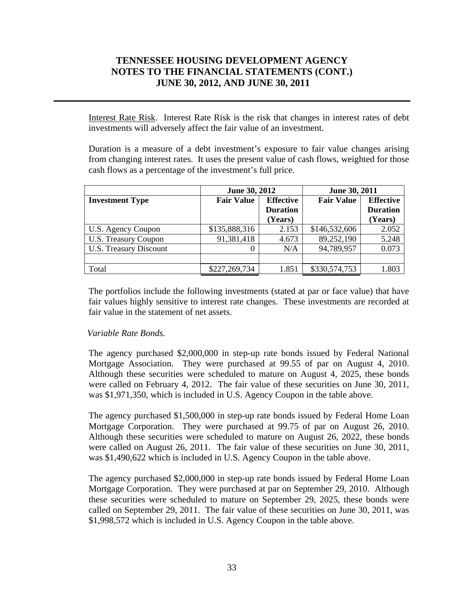Interest Rate Risk. Interest Rate Risk is the risk that changes in interest rates of debt investments will adversely affect the fair value of an investment.

 Duration is a measure of a debt investment's exposure to fair value changes arising from changing interest rates. It uses the present value of cash flows, weighted for those cash flows as a percentage of the investment's full price.

|                             | June 30, 2012     |                                                | June 30, 2011     |                                                |
|-----------------------------|-------------------|------------------------------------------------|-------------------|------------------------------------------------|
| <b>Investment Type</b>      | <b>Fair Value</b> | <b>Effective</b><br><b>Duration</b><br>(Years) | <b>Fair Value</b> | <b>Effective</b><br><b>Duration</b><br>(Years) |
| U.S. Agency Coupon          | \$135,888,316     | 2.153                                          | \$146,532,606     | 2.052                                          |
| <b>U.S. Treasury Coupon</b> | 91,381,418        | 4.673                                          | 89,252,190        | 5.248                                          |
| U.S. Treasury Discount      | 0                 | N/A                                            | 94,789,957        | 0.073                                          |
|                             |                   |                                                |                   |                                                |
| Total                       | \$227,269,734     | 1.851                                          | \$330,574,753     | 1.803                                          |

The portfolios include the following investments (stated at par or face value) that have fair values highly sensitive to interest rate changes. These investments are recorded at fair value in the statement of net assets.

#### *Variable Rate Bonds.*

The agency purchased \$2,000,000 in step-up rate bonds issued by Federal National Mortgage Association. They were purchased at 99.55 of par on August 4, 2010. Although these securities were scheduled to mature on August 4, 2025, these bonds were called on February 4, 2012. The fair value of these securities on June 30, 2011, was \$1,971,350, which is included in U.S. Agency Coupon in the table above.

The agency purchased \$1,500,000 in step-up rate bonds issued by Federal Home Loan Mortgage Corporation. They were purchased at 99.75 of par on August 26, 2010. Although these securities were scheduled to mature on August 26, 2022, these bonds were called on August 26, 2011. The fair value of these securities on June 30, 2011, was \$1,490,622 which is included in U.S. Agency Coupon in the table above.

The agency purchased \$2,000,000 in step-up rate bonds issued by Federal Home Loan Mortgage Corporation. They were purchased at par on September 29, 2010. Although these securities were scheduled to mature on September 29, 2025, these bonds were called on September 29, 2011. The fair value of these securities on June 30, 2011, was \$1,998,572 which is included in U.S. Agency Coupon in the table above.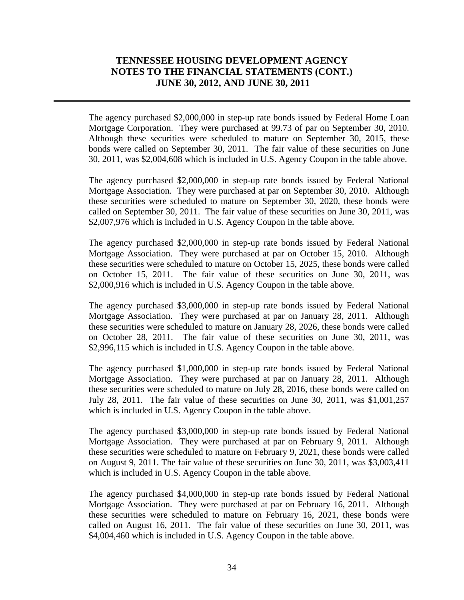The agency purchased \$2,000,000 in step-up rate bonds issued by Federal Home Loan Mortgage Corporation. They were purchased at 99.73 of par on September 30, 2010. Although these securities were scheduled to mature on September 30, 2015, these bonds were called on September 30, 2011. The fair value of these securities on June 30, 2011, was \$2,004,608 which is included in U.S. Agency Coupon in the table above.

The agency purchased \$2,000,000 in step-up rate bonds issued by Federal National Mortgage Association. They were purchased at par on September 30, 2010. Although these securities were scheduled to mature on September 30, 2020, these bonds were called on September 30, 2011. The fair value of these securities on June 30, 2011, was \$2,007,976 which is included in U.S. Agency Coupon in the table above.

The agency purchased \$2,000,000 in step-up rate bonds issued by Federal National Mortgage Association. They were purchased at par on October 15, 2010. Although these securities were scheduled to mature on October 15, 2025, these bonds were called on October 15, 2011. The fair value of these securities on June 30, 2011, was \$2,000,916 which is included in U.S. Agency Coupon in the table above.

The agency purchased \$3,000,000 in step-up rate bonds issued by Federal National Mortgage Association. They were purchased at par on January 28, 2011. Although these securities were scheduled to mature on January 28, 2026, these bonds were called on October 28, 2011. The fair value of these securities on June 30, 2011, was \$2,996,115 which is included in U.S. Agency Coupon in the table above.

The agency purchased \$1,000,000 in step-up rate bonds issued by Federal National Mortgage Association. They were purchased at par on January 28, 2011. Although these securities were scheduled to mature on July 28, 2016, these bonds were called on July 28, 2011. The fair value of these securities on June 30, 2011, was \$1,001,257 which is included in U.S. Agency Coupon in the table above.

The agency purchased \$3,000,000 in step-up rate bonds issued by Federal National Mortgage Association. They were purchased at par on February 9, 2011. Although these securities were scheduled to mature on February 9, 2021, these bonds were called on August 9, 2011. The fair value of these securities on June 30, 2011, was \$3,003,411 which is included in U.S. Agency Coupon in the table above.

The agency purchased \$4,000,000 in step-up rate bonds issued by Federal National Mortgage Association. They were purchased at par on February 16, 2011. Although these securities were scheduled to mature on February 16, 2021, these bonds were called on August 16, 2011. The fair value of these securities on June 30, 2011, was \$4,004,460 which is included in U.S. Agency Coupon in the table above.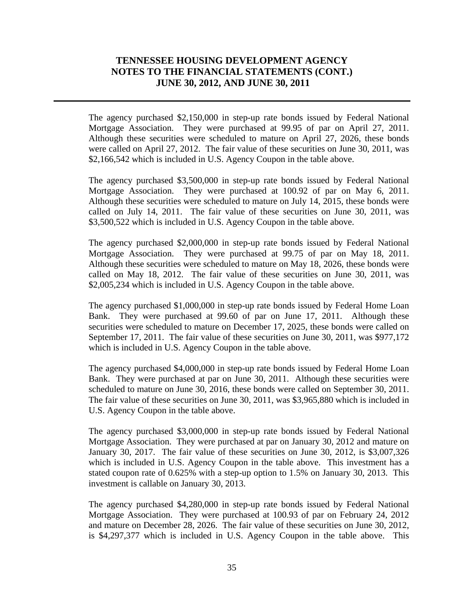The agency purchased \$2,150,000 in step-up rate bonds issued by Federal National Mortgage Association. They were purchased at 99.95 of par on April 27, 2011. Although these securities were scheduled to mature on April 27, 2026, these bonds were called on April 27, 2012. The fair value of these securities on June 30, 2011, was \$2,166,542 which is included in U.S. Agency Coupon in the table above.

The agency purchased \$3,500,000 in step-up rate bonds issued by Federal National Mortgage Association. They were purchased at 100.92 of par on May 6, 2011. Although these securities were scheduled to mature on July 14, 2015, these bonds were called on July 14, 2011. The fair value of these securities on June 30, 2011, was \$3,500,522 which is included in U.S. Agency Coupon in the table above.

The agency purchased \$2,000,000 in step-up rate bonds issued by Federal National Mortgage Association. They were purchased at 99.75 of par on May 18, 2011. Although these securities were scheduled to mature on May 18, 2026, these bonds were called on May 18, 2012. The fair value of these securities on June 30, 2011, was \$2,005,234 which is included in U.S. Agency Coupon in the table above.

The agency purchased \$1,000,000 in step-up rate bonds issued by Federal Home Loan Bank. They were purchased at 99.60 of par on June 17, 2011. Although these securities were scheduled to mature on December 17, 2025, these bonds were called on September 17, 2011. The fair value of these securities on June 30, 2011, was \$977,172 which is included in U.S. Agency Coupon in the table above.

The agency purchased \$4,000,000 in step-up rate bonds issued by Federal Home Loan Bank. They were purchased at par on June 30, 2011. Although these securities were scheduled to mature on June 30, 2016, these bonds were called on September 30, 2011. The fair value of these securities on June 30, 2011, was \$3,965,880 which is included in U.S. Agency Coupon in the table above.

The agency purchased \$3,000,000 in step-up rate bonds issued by Federal National Mortgage Association. They were purchased at par on January 30, 2012 and mature on January 30, 2017. The fair value of these securities on June 30, 2012, is \$3,007,326 which is included in U.S. Agency Coupon in the table above. This investment has a stated coupon rate of 0.625% with a step-up option to 1.5% on January 30, 2013. This investment is callable on January 30, 2013.

The agency purchased \$4,280,000 in step-up rate bonds issued by Federal National Mortgage Association. They were purchased at 100.93 of par on February 24, 2012 and mature on December 28, 2026. The fair value of these securities on June 30, 2012, is \$4,297,377 which is included in U.S. Agency Coupon in the table above. This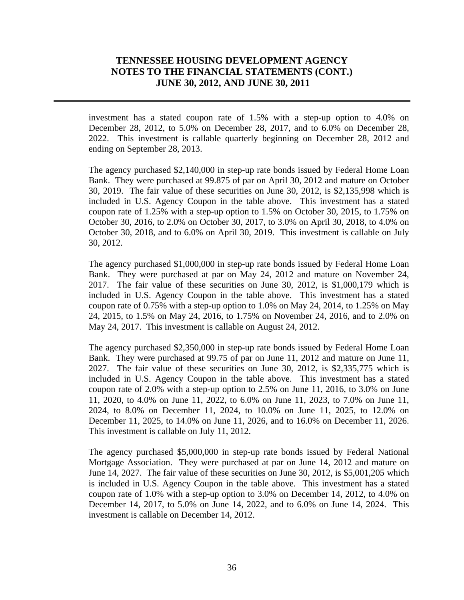investment has a stated coupon rate of 1.5% with a step-up option to 4.0% on December 28, 2012, to 5.0% on December 28, 2017, and to 6.0% on December 28, 2022. This investment is callable quarterly beginning on December 28, 2012 and ending on September 28, 2013.

The agency purchased \$2,140,000 in step-up rate bonds issued by Federal Home Loan Bank. They were purchased at 99.875 of par on April 30, 2012 and mature on October 30, 2019. The fair value of these securities on June 30, 2012, is \$2,135,998 which is included in U.S. Agency Coupon in the table above. This investment has a stated coupon rate of 1.25% with a step-up option to 1.5% on October 30, 2015, to 1.75% on October 30, 2016, to 2.0% on October 30, 2017, to 3.0% on April 30, 2018, to 4.0% on October 30, 2018, and to 6.0% on April 30, 2019. This investment is callable on July 30, 2012.

The agency purchased \$1,000,000 in step-up rate bonds issued by Federal Home Loan Bank. They were purchased at par on May 24, 2012 and mature on November 24, 2017. The fair value of these securities on June 30, 2012, is \$1,000,179 which is included in U.S. Agency Coupon in the table above. This investment has a stated coupon rate of 0.75% with a step-up option to 1.0% on May 24, 2014, to 1.25% on May 24, 2015, to 1.5% on May 24, 2016, to 1.75% on November 24, 2016, and to 2.0% on May 24, 2017. This investment is callable on August 24, 2012.

The agency purchased \$2,350,000 in step-up rate bonds issued by Federal Home Loan Bank. They were purchased at 99.75 of par on June 11, 2012 and mature on June 11, 2027. The fair value of these securities on June 30, 2012, is \$2,335,775 which is included in U.S. Agency Coupon in the table above. This investment has a stated coupon rate of 2.0% with a step-up option to 2.5% on June 11, 2016, to 3.0% on June 11, 2020, to 4.0% on June 11, 2022, to 6.0% on June 11, 2023, to 7.0% on June 11, 2024, to 8.0% on December 11, 2024, to 10.0% on June 11, 2025, to 12.0% on December 11, 2025, to 14.0% on June 11, 2026, and to 16.0% on December 11, 2026. This investment is callable on July 11, 2012.

The agency purchased \$5,000,000 in step-up rate bonds issued by Federal National Mortgage Association. They were purchased at par on June 14, 2012 and mature on June 14, 2027. The fair value of these securities on June 30, 2012, is \$5,001,205 which is included in U.S. Agency Coupon in the table above. This investment has a stated coupon rate of 1.0% with a step-up option to 3.0% on December 14, 2012, to 4.0% on December 14, 2017, to 5.0% on June 14, 2022, and to 6.0% on June 14, 2024. This investment is callable on December 14, 2012.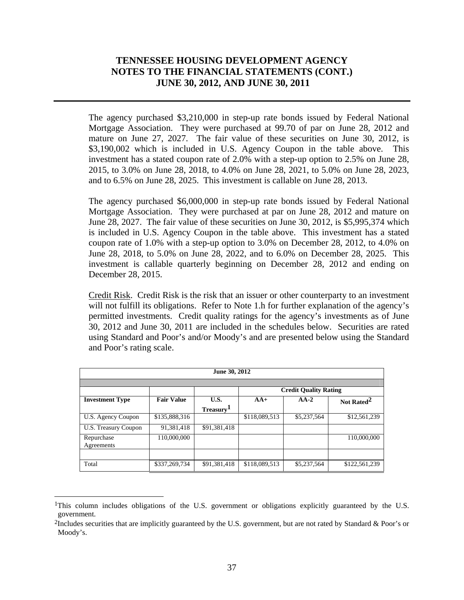The agency purchased \$3,210,000 in step-up rate bonds issued by Federal National Mortgage Association. They were purchased at 99.70 of par on June 28, 2012 and mature on June 27, 2027. The fair value of these securities on June 30, 2012, is \$3,190,002 which is included in U.S. Agency Coupon in the table above. This investment has a stated coupon rate of 2.0% with a step-up option to 2.5% on June 28, 2015, to 3.0% on June 28, 2018, to 4.0% on June 28, 2021, to 5.0% on June 28, 2023, and to 6.5% on June 28, 2025. This investment is callable on June 28, 2013.

The agency purchased \$6,000,000 in step-up rate bonds issued by Federal National Mortgage Association. They were purchased at par on June 28, 2012 and mature on June 28, 2027. The fair value of these securities on June 30, 2012, is \$5,995,374 which is included in U.S. Agency Coupon in the table above. This investment has a stated coupon rate of 1.0% with a step-up option to 3.0% on December 28, 2012, to 4.0% on June 28, 2018, to 5.0% on June 28, 2022, and to 6.0% on December 28, 2025. This investment is callable quarterly beginning on December 28, 2012 and ending on December 28, 2015.

Credit Risk. Credit Risk is the risk that an issuer or other counterparty to an investment will not fulfill its obligations. Refer to Note 1.h for further explanation of the agency's permitted investments. Credit quality ratings for the agency's investments as of June 30, 2012 and June 30, 2011 are included in the schedules below. Securities are rated using Standard and Poor's and/or Moody's and are presented below using the Standard and Poor's rating scale.

| June 30, 2012          |                   |                       |               |                              |                        |  |  |
|------------------------|-------------------|-----------------------|---------------|------------------------------|------------------------|--|--|
|                        |                   |                       |               |                              |                        |  |  |
|                        |                   |                       |               | <b>Credit Quality Rating</b> |                        |  |  |
| <b>Investment Type</b> | <b>Fair Value</b> | U.S.                  | $AA+$         | $AA-2$                       | Not Rated <sup>2</sup> |  |  |
|                        |                   | Treasury <sup>1</sup> |               |                              |                        |  |  |
| U.S. Agency Coupon     | \$135,888,316     |                       | \$118,089,513 | \$5,237,564                  | \$12,561,239           |  |  |
| U.S. Treasury Coupon   | 91,381,418        | \$91,381,418          |               |                              |                        |  |  |
| Repurchase             | 110,000,000       |                       |               |                              | 110,000,000            |  |  |
| Agreements             |                   |                       |               |                              |                        |  |  |
|                        |                   |                       |               |                              |                        |  |  |
| Total                  | \$337,269,734     | \$91,381,418          | \$118,089,513 | \$5,237,564                  | \$122,561,239          |  |  |

<sup>&</sup>lt;sup>1</sup>This column includes obligations of the U.S. government or obligations explicitly guaranteed by the U.S. government.

 $\overline{a}$ 

<sup>&</sup>lt;sup>2</sup>Includes securities that are implicitly guaranteed by the U.S. government, but are not rated by Standard & Poor's or Moody's.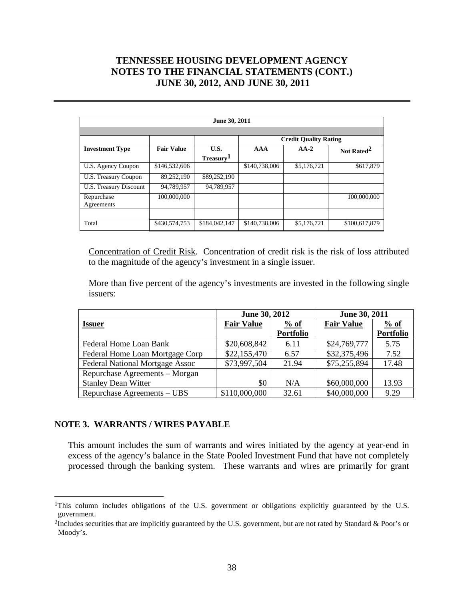| June 30, 2011            |                   |                       |               |                              |                        |
|--------------------------|-------------------|-----------------------|---------------|------------------------------|------------------------|
|                          |                   |                       |               |                              |                        |
|                          |                   |                       |               |                              |                        |
|                          |                   |                       |               | <b>Credit Quality Rating</b> |                        |
| <b>Investment Type</b>   | <b>Fair Value</b> | U.S.                  | AAA           | $AA-2$                       | Not Rated <sup>2</sup> |
|                          |                   | Treasury <sup>1</sup> |               |                              |                        |
| U.S. Agency Coupon       | \$146,532,606     |                       | \$140,738,006 | \$5,176,721                  | \$617,879              |
| U.S. Treasury Coupon     | 89,252,190        | \$89,252,190          |               |                              |                        |
| U.S. Treasury Discount   | 94.789.957        | 94,789,957            |               |                              |                        |
| Repurchase<br>Agreements | 100,000,000       |                       |               |                              | 100,000,000            |
|                          |                   |                       |               |                              |                        |
|                          |                   |                       |               |                              |                        |
| Total                    | \$430,574,753     | \$184,042,147         | \$140,738,006 | \$5,176,721                  | \$100,617,879          |

Concentration of Credit Risk. Concentration of credit risk is the risk of loss attributed to the magnitude of the agency's investment in a single issuer.

More than five percent of the agency's investments are invested in the following single issuers:

|                                 | June 30, 2012     |           | June 30, 2011     |                  |
|---------------------------------|-------------------|-----------|-------------------|------------------|
| <b>Issuer</b>                   | <b>Fair Value</b> | $%$ of    | <b>Fair Value</b> | $\frac{9}{6}$ of |
|                                 |                   | Portfolio |                   | <b>Portfolio</b> |
| Federal Home Loan Bank          | \$20,608,842      | 6.11      | \$24,769,777      | 5.75             |
| Federal Home Loan Mortgage Corp | \$22,155,470      | 6.57      | \$32,375,496      | 7.52             |
| Federal National Mortgage Assoc | \$73,997,504      | 21.94     | \$75,255,894      | 17.48            |
| Repurchase Agreements - Morgan  |                   |           |                   |                  |
| <b>Stanley Dean Witter</b>      | \$0               | N/A       | \$60,000,000      | 13.93            |
| Repurchase Agreements – UBS     | \$110,000,000     | 32.61     | \$40,000,000      | 9.29             |

#### **NOTE 3. WARRANTS / WIRES PAYABLE**

 $\overline{a}$ 

This amount includes the sum of warrants and wires initiated by the agency at year-end in excess of the agency's balance in the State Pooled Investment Fund that have not completely processed through the banking system. These warrants and wires are primarily for grant

<sup>&</sup>lt;sup>1</sup>This column includes obligations of the U.S. government or obligations explicitly guaranteed by the U.S. government.

<sup>&</sup>lt;sup>2</sup>Includes securities that are implicitly guaranteed by the U.S. government, but are not rated by Standard & Poor's or Moody's.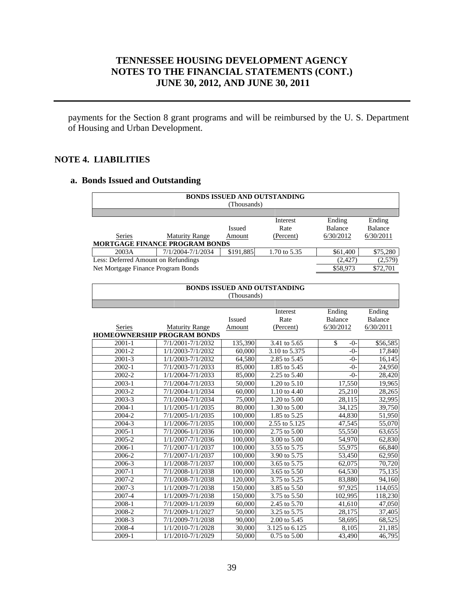payments for the Section 8 grant programs and will be reimbursed by the U. S. Department of Housing and Urban Development.

#### **NOTE 4. LIABILITIES**

## **a. Bonds Issued and Outstanding**

| <b>BONDS ISSUED AND OUTSTANDING</b><br>(Thousands) |                       |                         |                               |                                       |                                |  |
|----------------------------------------------------|-----------------------|-------------------------|-------------------------------|---------------------------------------|--------------------------------|--|
| Series<br><b>MORTGAGE FINANCE PROGRAM BONDS</b>    | <b>Maturity Range</b> | <b>Issued</b><br>Amount | Interest<br>Rate<br>(Percent) | Ending<br><b>Balance</b><br>6/30/2012 | Ending<br>Balance<br>6/30/2011 |  |
| 2003A                                              | 7/1/2004-7/1/2034     | \$191,885               | 1.70 to 5.35                  | \$61,400                              | \$75,280                       |  |
| Less: Deferred Amount on Refundings                |                       |                         |                               | (2,427)                               | (2,579)                        |  |
| Net Mortgage Finance Program Bonds                 | \$58,973              | \$72,701                |                               |                                       |                                |  |

| <b>BONDS ISSUED AND OUTSTANDING</b> |                       |               |                           |                |                |  |  |  |
|-------------------------------------|-----------------------|---------------|---------------------------|----------------|----------------|--|--|--|
|                                     | (Thousands)           |               |                           |                |                |  |  |  |
|                                     |                       |               |                           |                |                |  |  |  |
|                                     |                       |               | Interest                  | Ending         | Ending         |  |  |  |
|                                     |                       | <b>Issued</b> | Rate                      | <b>Balance</b> | <b>Balance</b> |  |  |  |
| Series                              | <b>Maturity Range</b> | Amount        | (Percent)                 | 6/30/2012      | 6/30/2011      |  |  |  |
| <b>HOMEOWNERSHIP PROGRAM BONDS</b>  |                       |               |                           |                |                |  |  |  |
| $2001 - 1$                          | 7/1/2001-7/1/2032     | 135,390       | 3.41 to 5.65              | \$<br>$-0-$    | \$56,585       |  |  |  |
| 2001-2                              | 1/1/2003-7/1/2032     | 60,000        | 3.10 to 5.375             | $-()$ -        | 17,840         |  |  |  |
| 2001-3                              | 1/1/2003-7/1/2032     | 64,580        | 2.85 to 5.45              | $-0-$          | 16,145         |  |  |  |
| 2002-1                              | 7/1/2003-7/1/2033     | 85,000        | 1.85 to 5.45              | $-0-$          | 24,950         |  |  |  |
| 2002-2                              | 1/1/2004-7/1/2033     | 85,000        | 2.25 to 5.40              | $-0-$          | 28,420         |  |  |  |
| $2003 - 1$                          | 7/1/2004-7/1/2033     | 50,000        | 1.20 to 5.10              | 17,550         | 19,965         |  |  |  |
| 2003-2                              | 7/1/2004-1/1/2034     | 60,000        | 1.10 to 4.40              | 25,210         | 28,265         |  |  |  |
| 2003-3                              | 7/1/2004-7/1/2034     | 75,000        | 1.20 to 5.00              | 28,115         | 32,995         |  |  |  |
| $2004 - 1$                          | 1/1/2005-1/1/2035     | 80,000        | 1.30 to 5.00              | 34,125         | 39,750         |  |  |  |
| 2004-2                              | 7/1/2005-1/1/2035     | 100,000       | 1.85 to 5.25              | 44,830         | 51,950         |  |  |  |
| 2004-3                              | 1/1/2006-7/1/2035     | 100,000       | 2.55 to 5.125             | 47,545         | 55,070         |  |  |  |
| $2005 - 1$                          | 7/1/2006-1/1/2036     | 100,000       | 2.75 to 5.00              | 55,550         | 63,655         |  |  |  |
| 2005-2                              | 1/1/2007-7/1/2036     | 100,000       | 3.00 to 5.00              | 54,970         | 62,830         |  |  |  |
| 2006-1                              | 7/1/2007-1/1/2037     | 100,000       | 3.55 to 5.75              | 55,975         | 66,840         |  |  |  |
| 2006-2                              | 7/1/2007-1/1/2037     | 100,000       | 3.90 to 5.75              | 53,450         | 62,950         |  |  |  |
| 2006-3                              | 1/1/2008-7/1/2037     | 100,000       | 3.65 to 5.75              | 62,075         | 70,720         |  |  |  |
| $2007 - 1$                          | 7/1/2008-1/1/2038     | 100,000       | 3.65 to 5.50              | 64,530         | 75,135         |  |  |  |
| 2007-2                              | 7/1/2008-7/1/2038     | 120,000       | 3.75 to 5.25              | 83,880         | 94,160         |  |  |  |
| 2007-3                              | 1/1/2009-7/1/2038     | 150,000       | 3.85 to 5.50              | 97,925         | 114,055        |  |  |  |
| 2007-4                              | 1/1/2009-7/1/2038     | 150,000       | $\overline{3.75}$ to 5.50 | 102,995        | 118,230        |  |  |  |
| 2008-1                              | 7/1/2009-1/1/2039     | 60,000        | 2.45 to 5.70              | 41,610         | 47,050         |  |  |  |
| 2008-2                              | 7/1/2009-1/1/2027     | 50,000        | 3.25 to 5.75              | 28.175         | 37,405         |  |  |  |
| 2008-3                              | 7/1/2009-7/1/2038     | 90,000        | 2.00 to 5.45              | 58,695         | 68,525         |  |  |  |
| 2008-4                              | 1/1/2010-7/1/2028     | 30,000        | 3.125 to 6.125            | 8,105          | 21,185         |  |  |  |
| 2009-1                              | 1/1/2010-7/1/2029     | 50,000        | $0.75$ to $5.00$          | 43,490         | 46,795         |  |  |  |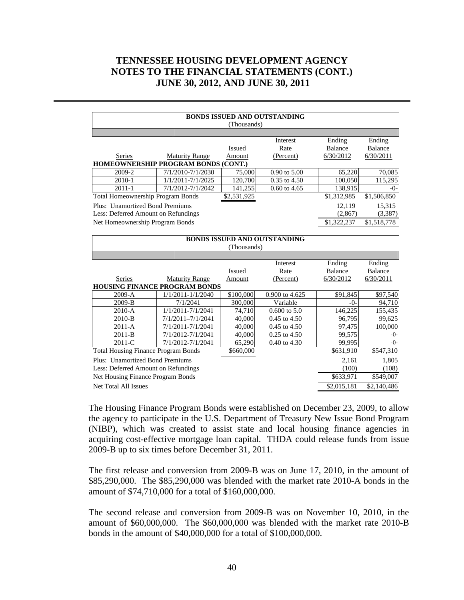| <b>BONDS ISSUED AND OUTSTANDING</b>        |                       |               |                                     |                |                |
|--------------------------------------------|-----------------------|---------------|-------------------------------------|----------------|----------------|
|                                            |                       | (Thousands)   |                                     |                |                |
|                                            |                       |               | Interest                            | Ending         | Ending         |
|                                            |                       | <b>Issued</b> | Rate                                | <b>Balance</b> | <b>Balance</b> |
| Series                                     | <b>Maturity Range</b> | Amount        | (Percent)                           | 6/30/2012      | 6/30/2011      |
| HOMEOWNERSHIP PROGRAM BONDS (CONT.)        |                       |               |                                     |                |                |
| 2009-2                                     | 7/1/2010-7/1/2030     | 75,000        | 0.90 to 5.00                        | 65,220         | 70,085         |
| 2010-1                                     | 1/1/2011-7/1/2025     | 120,700       | 0.35 to 4.50                        | 100,050        | 115,295        |
| $2011 - 1$                                 | 7/1/2012-7/1/2042     | 141,255       | $0.60$ to $4.65$                    | 138,915        | $-0-$          |
| Total Homeownership Program Bonds          |                       | \$2,531,925   |                                     | \$1,312,985    | \$1,506,850    |
| Plus: Unamortized Bond Premiums            |                       |               |                                     | 12,119         | 15,315         |
| Less: Deferred Amount on Refundings        |                       |               |                                     | (2,867)        | (3,387)        |
| Net Homeownership Program Bonds            |                       |               |                                     | \$1,322,237    | \$1,518,778    |
|                                            |                       |               |                                     |                |                |
|                                            |                       |               | <b>BONDS ISSUED AND OUTSTANDING</b> |                |                |
|                                            |                       | (Thousands)   |                                     |                |                |
|                                            |                       |               |                                     |                |                |
|                                            |                       |               | Interest                            | Ending         | Ending         |
|                                            |                       | <b>Issued</b> | Rate                                | <b>Balance</b> | <b>Balance</b> |
| Series                                     | <b>Maturity Range</b> | Amount        | (Percent)                           | 6/30/2012      | 6/30/2011      |
| <b>HOUSING FINANCE PROGRAM BONDS</b>       |                       |               |                                     |                |                |
| $2009 - A$                                 | 1/1/2011-1/1/2040     | \$100,000     | 0.900 to 4.625                      | \$91,845       | \$97,540       |
| 2009-B                                     | 7/1/2041              | 300,000       | Variable                            | $-()$          | 94,710         |
| $2010-A$                                   | 1/1/2011-7/1/2041     | 74,710        | $0.600$ to $5.0$                    | 146,225        | 155,435        |
| 2010-B                                     | 7/1/2011-7/1/2041     | 40,000        | 0.45 to 4.50                        | 96,795         | 99,625         |
| $2011-A$                                   | 7/1/2011-7/1/2041     | 40,000        | 0.45 to 4.50                        | 97,475         | 100,000        |
| $2011-B$                                   | 7/1/2012-7/1/2041     | 40,000        | 0.25 to 4.50                        | 99,575         | $-0-$          |
| 2011-C                                     | 7/1/2012-7/1/2041     | 65,290        | 0.40 to 4.30                        | 99,995         | $-0-$          |
| <b>Total Housing Finance Program Bonds</b> |                       | \$660,000     |                                     | \$631,910      | \$547,310      |
| <b>Plus:</b> Unamortized Bond Premiums     |                       |               |                                     | 2,161          | 1,805          |
| Less: Deferred Amount on Refundings        |                       |               |                                     | (100)          | (108)          |
| Net Housing Finance Program Bonds          |                       |               |                                     | \$633,971      | \$549,007      |
| Net Total All Issues                       |                       |               |                                     | \$2,015,181    | \$2,140,486    |

The Housing Finance Program Bonds were established on December 23, 2009, to allow the agency to participate in the U.S. Department of Treasury New Issue Bond Program (NIBP), which was created to assist state and local housing finance agencies in acquiring cost-effective mortgage loan capital. THDA could release funds from issue 2009-B up to six times before December 31, 2011.

The first release and conversion from 2009-B was on June 17, 2010, in the amount of \$85,290,000. The \$85,290,000 was blended with the market rate 2010-A bonds in the amount of \$74,710,000 for a total of \$160,000,000.

The second release and conversion from 2009-B was on November 10, 2010, in the amount of \$60,000,000. The \$60,000,000 was blended with the market rate 2010-B bonds in the amount of \$40,000,000 for a total of \$100,000,000.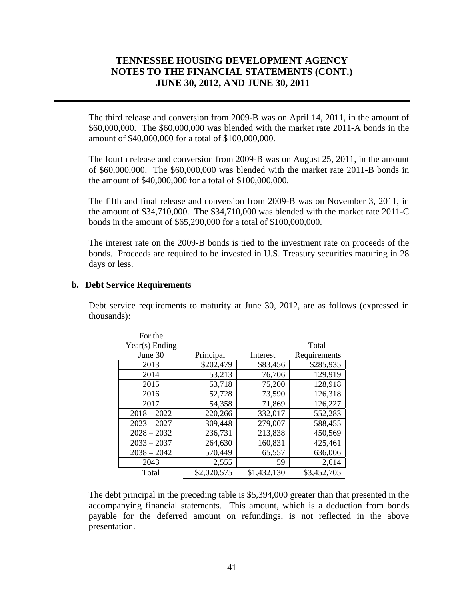The third release and conversion from 2009-B was on April 14, 2011, in the amount of \$60,000,000. The \$60,000,000 was blended with the market rate 2011-A bonds in the amount of \$40,000,000 for a total of \$100,000,000.

The fourth release and conversion from 2009-B was on August 25, 2011, in the amount of \$60,000,000. The \$60,000,000 was blended with the market rate 2011-B bonds in the amount of \$40,000,000 for a total of \$100,000,000.

The fifth and final release and conversion from 2009-B was on November 3, 2011, in the amount of \$34,710,000. The \$34,710,000 was blended with the market rate 2011-C bonds in the amount of \$65,290,000 for a total of \$100,000,000.

The interest rate on the 2009-B bonds is tied to the investment rate on proceeds of the bonds. Proceeds are required to be invested in U.S. Treasury securities maturing in 28 days or less.

#### **b. Debt Service Requirements**

Debt service requirements to maturity at June 30, 2012, are as follows (expressed in thousands):

| For the          |             |             |              |
|------------------|-------------|-------------|--------------|
| $Year(s)$ Ending |             |             | Total        |
| June 30          | Principal   | Interest    | Requirements |
| 2013             | \$202,479   | \$83,456    | \$285,935    |
| 2014             | 53,213      | 76,706      | 129,919      |
| 2015             | 53,718      | 75,200      | 128,918      |
| 2016             | 52,728      | 73,590      | 126,318      |
| 2017             | 54,358      | 71,869      | 126,227      |
| $2018 - 2022$    | 220,266     | 332,017     | 552,283      |
| $2023 - 2027$    | 309,448     | 279,007     | 588,455      |
| $2028 - 2032$    | 236,731     | 213,838     | 450,569      |
| $2033 - 2037$    | 264,630     | 160,831     | 425,461      |
| $2038 - 2042$    | 570,449     | 65,557      | 636,006      |
| 2043             | 2,555       | 59          | 2,614        |
| Total            | \$2,020,575 | \$1,432,130 | \$3,452,705  |

The debt principal in the preceding table is \$5,394,000 greater than that presented in the accompanying financial statements. This amount, which is a deduction from bonds payable for the deferred amount on refundings, is not reflected in the above presentation.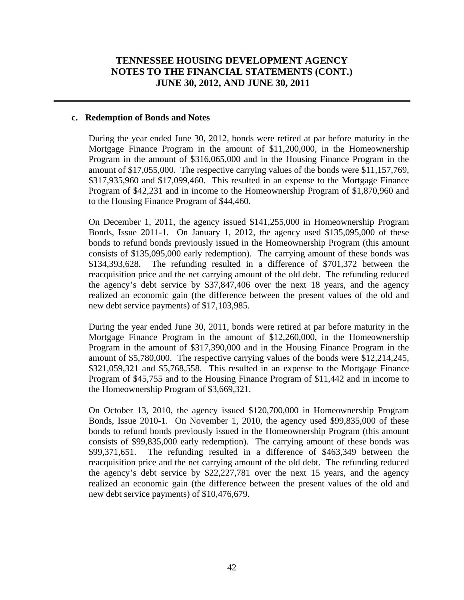#### **c. Redemption of Bonds and Notes**

During the year ended June 30, 2012, bonds were retired at par before maturity in the Mortgage Finance Program in the amount of \$11,200,000, in the Homeownership Program in the amount of \$316,065,000 and in the Housing Finance Program in the amount of \$17,055,000. The respective carrying values of the bonds were \$11,157,769, \$317,935,960 and \$17,099,460. This resulted in an expense to the Mortgage Finance Program of \$42,231 and in income to the Homeownership Program of \$1,870,960 and to the Housing Finance Program of \$44,460.

On December 1, 2011, the agency issued \$141,255,000 in Homeownership Program Bonds, Issue 2011-1. On January 1, 2012, the agency used \$135,095,000 of these bonds to refund bonds previously issued in the Homeownership Program (this amount consists of \$135,095,000 early redemption). The carrying amount of these bonds was \$134,393,628. The refunding resulted in a difference of \$701,372 between the reacquisition price and the net carrying amount of the old debt. The refunding reduced the agency's debt service by \$37,847,406 over the next 18 years, and the agency realized an economic gain (the difference between the present values of the old and new debt service payments) of \$17,103,985.

During the year ended June 30, 2011, bonds were retired at par before maturity in the Mortgage Finance Program in the amount of \$12,260,000, in the Homeownership Program in the amount of \$317,390,000 and in the Housing Finance Program in the amount of \$5,780,000. The respective carrying values of the bonds were \$12,214,245, \$321,059,321 and \$5,768,558. This resulted in an expense to the Mortgage Finance Program of \$45,755 and to the Housing Finance Program of \$11,442 and in income to the Homeownership Program of \$3,669,321.

On October 13, 2010, the agency issued \$120,700,000 in Homeownership Program Bonds, Issue 2010-1. On November 1, 2010, the agency used \$99,835,000 of these bonds to refund bonds previously issued in the Homeownership Program (this amount consists of \$99,835,000 early redemption). The carrying amount of these bonds was \$99,371,651. The refunding resulted in a difference of \$463,349 between the reacquisition price and the net carrying amount of the old debt. The refunding reduced the agency's debt service by \$22,227,781 over the next 15 years, and the agency realized an economic gain (the difference between the present values of the old and new debt service payments) of \$10,476,679.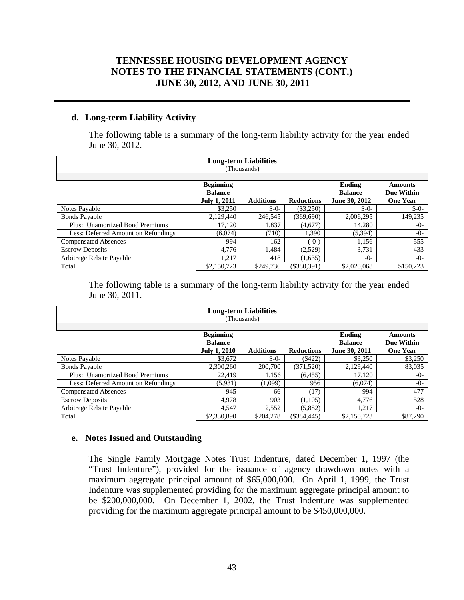#### **d. Long-term Liability Activity**

The following table is a summary of the long-term liability activity for the year ended June 30, 2012.

| <b>Long-term Liabilities</b><br>(Thousands)                                                                                                                                                               |             |           |                |             |           |  |  |
|-----------------------------------------------------------------------------------------------------------------------------------------------------------------------------------------------------------|-------------|-----------|----------------|-------------|-----------|--|--|
| <b>Beginning</b><br><b>Ending</b><br><b>Amounts</b><br>Due Within<br><b>Balance</b><br><b>Balance</b><br><b>July 1, 2011</b><br><b>Additions</b><br>June 30, 2012<br><b>Reductions</b><br><b>One Year</b> |             |           |                |             |           |  |  |
| Notes Payable                                                                                                                                                                                             | \$3,250     | $S - 0 -$ | $(\$3,250)$    | $S - 0 -$   | $$ -0-$   |  |  |
| <b>Bonds Payable</b>                                                                                                                                                                                      | 2,129,440   | 246.545   | (369, 690)     | 2,006,295   | 149,235   |  |  |
| <b>Plus:</b> Unamortized Bond Premiums                                                                                                                                                                    | 17,120      | 1,837     | (4,677)        | 14,280      | $-0-$     |  |  |
| Less: Deferred Amount on Refundings                                                                                                                                                                       | (6.074)     | (710)     | 1,390          | (5, 394)    | $-0-$     |  |  |
| <b>Compensated Absences</b>                                                                                                                                                                               | 994         | 162       | $(-0-)$        | 1,156       | 555       |  |  |
| <b>Escrow Deposits</b>                                                                                                                                                                                    | 4,776       | 1,484     | (2,529)        | 3,731       | 433       |  |  |
| Arbitrage Rebate Payable                                                                                                                                                                                  | 1.217       | 418       | (1,635)        | $-()$ -     | $-0-$     |  |  |
| Total                                                                                                                                                                                                     | \$2,150,723 | \$249.736 | $($ \$380.391) | \$2,020,068 | \$150.223 |  |  |

The following table is a summary of the long-term liability activity for the year ended June 30, 2011.

| <b>Long-term Liabilities</b><br>(Thousands)                                                                                                                                                        |             |           |                |             |          |  |  |
|----------------------------------------------------------------------------------------------------------------------------------------------------------------------------------------------------|-------------|-----------|----------------|-------------|----------|--|--|
| <b>Beginning</b><br><b>Ending</b><br>Amounts<br>Due Within<br><b>Balance</b><br><b>Balance</b><br><b>July 1, 2010</b><br><b>Additions</b><br>June 30, 2011<br><b>Reductions</b><br><b>One Year</b> |             |           |                |             |          |  |  |
| Notes Payable                                                                                                                                                                                      | \$3,672     | $S - 0 -$ | ( \$422)       | \$3,250     | \$3,250  |  |  |
| <b>Bonds Payable</b>                                                                                                                                                                               | 2,300,260   | 200,700   | (371, 520)     | 2,129,440   | 83,035   |  |  |
| <b>Plus:</b> Unamortized Bond Premiums                                                                                                                                                             | 22.419      | 1,156     | (6, 455)       | 17,120      | $-0-$    |  |  |
| Less: Deferred Amount on Refundings                                                                                                                                                                | (5,931)     | (1,099)   | 956            | (6,074)     | $-0-$    |  |  |
| <b>Compensated Absences</b>                                                                                                                                                                        | 945         | 66        | (17)           | 994         | 477      |  |  |
| <b>Escrow Deposits</b>                                                                                                                                                                             | 4,978       | 903       | (1,105)        | 4,776       | 528      |  |  |
| Arbitrage Rebate Payable                                                                                                                                                                           | 4,547       | 2,552     | (5,882)        | 1.217       | $-0-$    |  |  |
| Total                                                                                                                                                                                              | \$2,330,890 | \$204,278 | $($ \$384,445) | \$2,150,723 | \$87,290 |  |  |

#### **e. Notes Issued and Outstanding**

The Single Family Mortgage Notes Trust Indenture, dated December 1, 1997 (the "Trust Indenture"), provided for the issuance of agency drawdown notes with a maximum aggregate principal amount of \$65,000,000. On April 1, 1999, the Trust Indenture was supplemented providing for the maximum aggregate principal amount to be \$200,000,000. On December 1, 2002, the Trust Indenture was supplemented providing for the maximum aggregate principal amount to be \$450,000,000.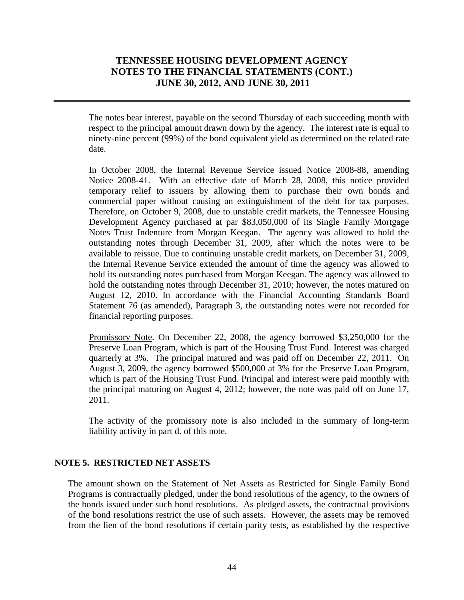The notes bear interest, payable on the second Thursday of each succeeding month with respect to the principal amount drawn down by the agency. The interest rate is equal to ninety-nine percent (99%) of the bond equivalent yield as determined on the related rate date.

In October 2008, the Internal Revenue Service issued Notice 2008-88, amending Notice 2008-41. With an effective date of March 28, 2008, this notice provided temporary relief to issuers by allowing them to purchase their own bonds and commercial paper without causing an extinguishment of the debt for tax purposes. Therefore, on October 9, 2008, due to unstable credit markets, the Tennessee Housing Development Agency purchased at par \$83,050,000 of its Single Family Mortgage Notes Trust Indenture from Morgan Keegan. The agency was allowed to hold the outstanding notes through December 31, 2009, after which the notes were to be available to reissue. Due to continuing unstable credit markets, on December 31, 2009, the Internal Revenue Service extended the amount of time the agency was allowed to hold its outstanding notes purchased from Morgan Keegan. The agency was allowed to hold the outstanding notes through December 31, 2010; however, the notes matured on August 12, 2010. In accordance with the Financial Accounting Standards Board Statement 76 (as amended), Paragraph 3, the outstanding notes were not recorded for financial reporting purposes.

Promissory Note. On December 22, 2008, the agency borrowed \$3,250,000 for the Preserve Loan Program, which is part of the Housing Trust Fund. Interest was charged quarterly at 3%. The principal matured and was paid off on December 22, 2011. On August 3, 2009, the agency borrowed \$500,000 at 3% for the Preserve Loan Program, which is part of the Housing Trust Fund. Principal and interest were paid monthly with the principal maturing on August 4, 2012; however, the note was paid off on June 17, 2011.

The activity of the promissory note is also included in the summary of long-term liability activity in part d. of this note.

#### **NOTE 5. RESTRICTED NET ASSETS**

The amount shown on the Statement of Net Assets as Restricted for Single Family Bond Programs is contractually pledged, under the bond resolutions of the agency, to the owners of the bonds issued under such bond resolutions. As pledged assets, the contractual provisions of the bond resolutions restrict the use of such assets. However, the assets may be removed from the lien of the bond resolutions if certain parity tests, as established by the respective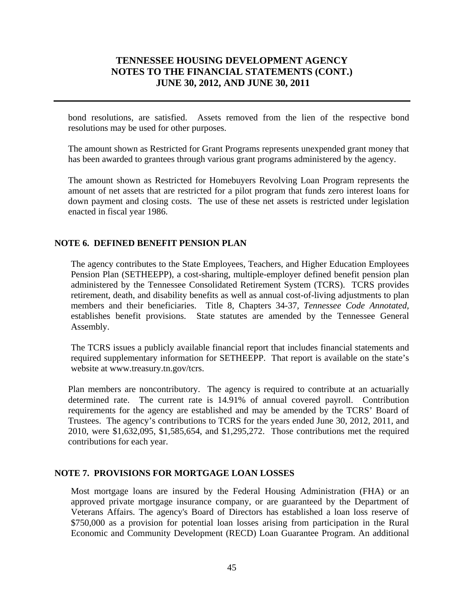bond resolutions, are satisfied. Assets removed from the lien of the respective bond resolutions may be used for other purposes.

The amount shown as Restricted for Grant Programs represents unexpended grant money that has been awarded to grantees through various grant programs administered by the agency.

The amount shown as Restricted for Homebuyers Revolving Loan Program represents the amount of net assets that are restricted for a pilot program that funds zero interest loans for down payment and closing costs. The use of these net assets is restricted under legislation enacted in fiscal year 1986.

#### **NOTE 6. DEFINED BENEFIT PENSION PLAN**

The agency contributes to the State Employees, Teachers, and Higher Education Employees Pension Plan (SETHEEPP), a cost-sharing, multiple-employer defined benefit pension plan administered by the Tennessee Consolidated Retirement System (TCRS). TCRS provides retirement, death, and disability benefits as well as annual cost-of-living adjustments to plan members and their beneficiaries. Title 8, Chapters 34-37*, Tennessee Code Annotated,* establishes benefit provisions. State statutes are amended by the Tennessee General Assembly.

The TCRS issues a publicly available financial report that includes financial statements and required supplementary information for SETHEEPP. That report is available on the state's website at www.treasury.tn.gov/tcrs.

Plan members are noncontributory. The agency is required to contribute at an actuarially determined rate. The current rate is 14.91% of annual covered payroll. Contribution requirements for the agency are established and may be amended by the TCRS' Board of Trustees. The agency's contributions to TCRS for the years ended June 30, 2012, 2011, and 2010, were \$1,632,095, \$1,585,654, and \$1,295,272. Those contributions met the required contributions for each year.

## **NOTE 7. PROVISIONS FOR MORTGAGE LOAN LOSSES**

Most mortgage loans are insured by the Federal Housing Administration (FHA) or an approved private mortgage insurance company, or are guaranteed by the Department of Veterans Affairs. The agency's Board of Directors has established a loan loss reserve of \$750,000 as a provision for potential loan losses arising from participation in the Rural Economic and Community Development (RECD) Loan Guarantee Program. An additional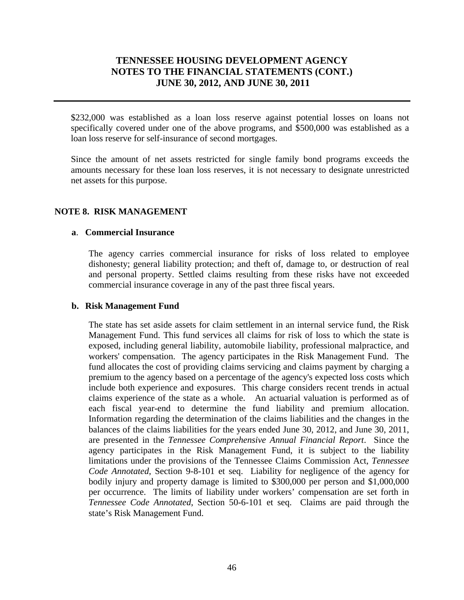\$232,000 was established as a loan loss reserve against potential losses on loans not specifically covered under one of the above programs, and \$500,000 was established as a loan loss reserve for self-insurance of second mortgages.

Since the amount of net assets restricted for single family bond programs exceeds the amounts necessary for these loan loss reserves, it is not necessary to designate unrestricted net assets for this purpose.

#### **NOTE 8. RISK MANAGEMENT**

#### **a**. **Commercial Insurance**

 The agency carries commercial insurance for risks of loss related to employee dishonesty; general liability protection; and theft of, damage to, or destruction of real and personal property. Settled claims resulting from these risks have not exceeded commercial insurance coverage in any of the past three fiscal years.

#### **b. Risk Management Fund**

 The state has set aside assets for claim settlement in an internal service fund, the Risk Management Fund. This fund services all claims for risk of loss to which the state is exposed, including general liability, automobile liability, professional malpractice, and workers' compensation. The agency participates in the Risk Management Fund. The fund allocates the cost of providing claims servicing and claims payment by charging a premium to the agency based on a percentage of the agency's expected loss costs which include both experience and exposures. This charge considers recent trends in actual claims experience of the state as a whole. An actuarial valuation is performed as of each fiscal year-end to determine the fund liability and premium allocation. Information regarding the determination of the claims liabilities and the changes in the balances of the claims liabilities for the years ended June 30, 2012, and June 30, 2011, are presented in the *Tennessee Comprehensive Annual Financial Report*. Since the agency participates in the Risk Management Fund, it is subject to the liability limitations under the provisions of the Tennessee Claims Commission Act, *Tennessee Code Annotated*, Section 9-8-101 et seq. Liability for negligence of the agency for bodily injury and property damage is limited to \$300,000 per person and \$1,000,000 per occurrence. The limits of liability under workers' compensation are set forth in *Tennessee Code Annotated*, Section 50-6-101 et seq. Claims are paid through the state's Risk Management Fund.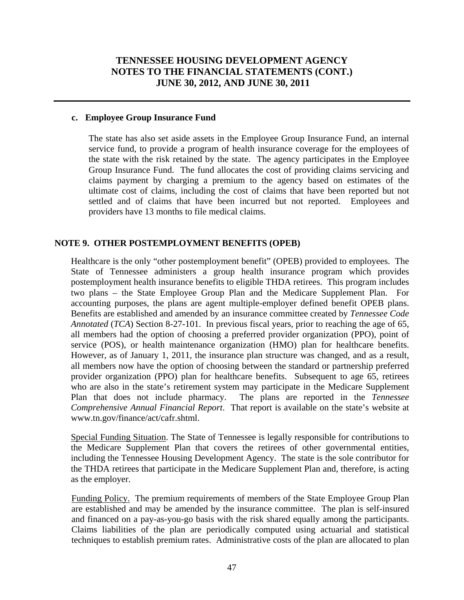#### **c. Employee Group Insurance Fund**

 The state has also set aside assets in the Employee Group Insurance Fund, an internal service fund, to provide a program of health insurance coverage for the employees of the state with the risk retained by the state. The agency participates in the Employee Group Insurance Fund. The fund allocates the cost of providing claims servicing and claims payment by charging a premium to the agency based on estimates of the ultimate cost of claims, including the cost of claims that have been reported but not settled and of claims that have been incurred but not reported. Employees and providers have 13 months to file medical claims.

#### **NOTE 9. OTHER POSTEMPLOYMENT BENEFITS (OPEB)**

Healthcare is the only "other postemployment benefit" (OPEB) provided to employees. The State of Tennessee administers a group health insurance program which provides postemployment health insurance benefits to eligible THDA retirees. This program includes two plans – the State Employee Group Plan and the Medicare Supplement Plan. For accounting purposes, the plans are agent multiple-employer defined benefit OPEB plans. Benefits are established and amended by an insurance committee created by *Tennessee Code Annotated* (*TCA*) Section 8-27-101. In previous fiscal years, prior to reaching the age of 65, all members had the option of choosing a preferred provider organization (PPO), point of service (POS), or health maintenance organization (HMO) plan for healthcare benefits. However, as of January 1, 2011, the insurance plan structure was changed, and as a result, all members now have the option of choosing between the standard or partnership preferred provider organization (PPO) plan for healthcare benefits. Subsequent to age 65, retirees who are also in the state's retirement system may participate in the Medicare Supplement Plan that does not include pharmacy. The plans are reported in the *Tennessee Comprehensive Annual Financial Report*. That report is available on the state's website at www.tn.gov/finance/act/cafr.shtml.

Special Funding Situation. The State of Tennessee is legally responsible for contributions to the Medicare Supplement Plan that covers the retirees of other governmental entities, including the Tennessee Housing Development Agency. The state is the sole contributor for the THDA retirees that participate in the Medicare Supplement Plan and, therefore, is acting as the employer.

Funding Policy. The premium requirements of members of the State Employee Group Plan are established and may be amended by the insurance committee. The plan is self-insured and financed on a pay-as-you-go basis with the risk shared equally among the participants. Claims liabilities of the plan are periodically computed using actuarial and statistical techniques to establish premium rates. Administrative costs of the plan are allocated to plan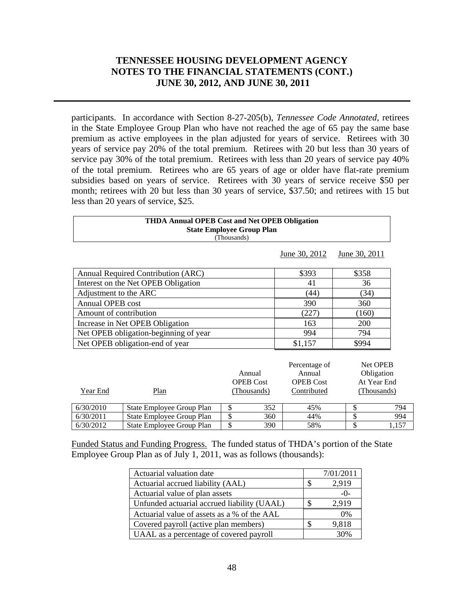participants. In accordance with Section 8-27-205(b), *Tennessee Code Annotated*, retirees in the State Employee Group Plan who have not reached the age of 65 pay the same base premium as active employees in the plan adjusted for years of service. Retirees with 30 years of service pay 20% of the total premium. Retirees with 20 but less than 30 years of service pay 30% of the total premium. Retirees with less than 20 years of service pay 40% of the total premium. Retirees who are 65 years of age or older have flat-rate premium subsidies based on years of service. Retirees with 30 years of service receive \$50 per month; retirees with 20 but less than 30 years of service, \$37.50; and retirees with 15 but less than 20 years of service, \$25.

#### **THDA Annual OPEB Cost and Net OPEB Obligation State Employee Group Plan** (Thousands)

June 30, 2012 June 30, 2011

| Annual Required Contribution (ARC)    | \$393   | \$358      |
|---------------------------------------|---------|------------|
| Interest on the Net OPEB Obligation   | 41      | 36         |
| Adjustment to the ARC                 | (44)    | (34)       |
| Annual OPEB cost                      | 390     | 360        |
| Amount of contribution                | (227)   | (160)      |
| Increase in Net OPEB Obligation       | 163     | <b>200</b> |
| Net OPEB obligation-beginning of year | 994     | 794        |
| Net OPEB obligation-end of year       | \$1,157 | \$994      |

| Year End  | Plan                      |   | Annual<br><b>OPEB</b> Cost<br>(Thousands) | Percentage of<br>Annual<br><b>OPEB</b> Cost<br>Contributed | Net OPEB<br>Obligation<br>At Year End<br>(Thousands) |
|-----------|---------------------------|---|-------------------------------------------|------------------------------------------------------------|------------------------------------------------------|
| 6/30/2010 |                           |   |                                           |                                                            | 794                                                  |
|           | State Employee Group Plan | S | 352                                       | 45%                                                        |                                                      |
| 6/30/2011 | State Employee Group Plan | S | 360                                       | 44%                                                        | 994                                                  |
| 6/30/2012 | State Employee Group Plan | S | 390                                       | 58%                                                        | 1,157                                                |

Funded Status and Funding Progress. The funded status of THDA's portion of the State Employee Group Plan as of July 1, 2011, was as follows (thousands):

| Actuarial valuation date                    | 7/01/2011 |
|---------------------------------------------|-----------|
| Actuarial accrued liability (AAL)           | 2,919     |
| Actuarial value of plan assets              | $-0-$     |
| Unfunded actuarial accrued liability (UAAL) | 2,919     |
| Actuarial value of assets as a % of the AAL | 0%        |
| Covered payroll (active plan members)       | 9,818     |
| UAAL as a percentage of covered payroll     | 30%       |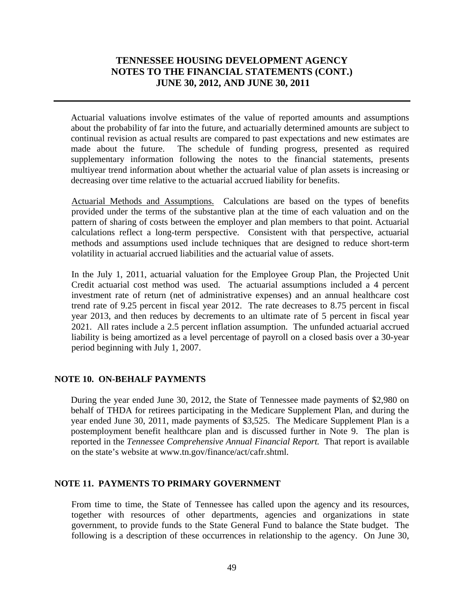Actuarial valuations involve estimates of the value of reported amounts and assumptions about the probability of far into the future, and actuarially determined amounts are subject to continual revision as actual results are compared to past expectations and new estimates are made about the future. The schedule of funding progress, presented as required supplementary information following the notes to the financial statements, presents multiyear trend information about whether the actuarial value of plan assets is increasing or decreasing over time relative to the actuarial accrued liability for benefits.

Actuarial Methods and Assumptions. Calculations are based on the types of benefits provided under the terms of the substantive plan at the time of each valuation and on the pattern of sharing of costs between the employer and plan members to that point. Actuarial calculations reflect a long-term perspective. Consistent with that perspective, actuarial methods and assumptions used include techniques that are designed to reduce short-term volatility in actuarial accrued liabilities and the actuarial value of assets.

In the July 1, 2011, actuarial valuation for the Employee Group Plan, the Projected Unit Credit actuarial cost method was used. The actuarial assumptions included a 4 percent investment rate of return (net of administrative expenses) and an annual healthcare cost trend rate of 9.25 percent in fiscal year 2012. The rate decreases to 8.75 percent in fiscal year 2013, and then reduces by decrements to an ultimate rate of 5 percent in fiscal year 2021. All rates include a 2.5 percent inflation assumption. The unfunded actuarial accrued liability is being amortized as a level percentage of payroll on a closed basis over a 30-year period beginning with July 1, 2007.

#### **NOTE 10. ON-BEHALF PAYMENTS**

During the year ended June 30, 2012, the State of Tennessee made payments of \$2,980 on behalf of THDA for retirees participating in the Medicare Supplement Plan, and during the year ended June 30, 2011, made payments of \$3,525. The Medicare Supplement Plan is a postemployment benefit healthcare plan and is discussed further in Note 9. The plan is reported in the *Tennessee Comprehensive Annual Financial Report.* That report is available on the state's website at www.tn.gov/finance/act/cafr.shtml.

## **NOTE 11. PAYMENTS TO PRIMARY GOVERNMENT**

From time to time, the State of Tennessee has called upon the agency and its resources, together with resources of other departments, agencies and organizations in state government, to provide funds to the State General Fund to balance the State budget. The following is a description of these occurrences in relationship to the agency. On June 30,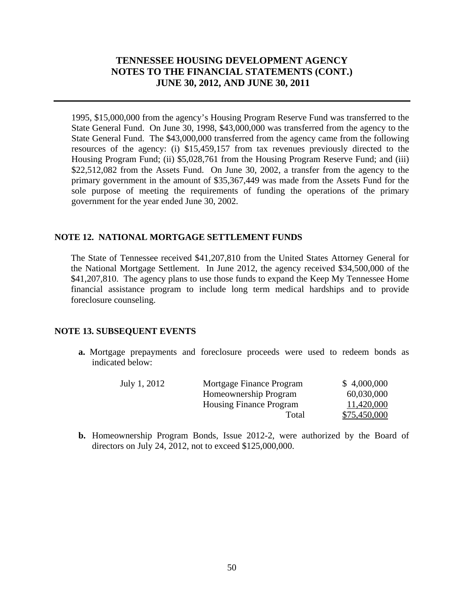1995, \$15,000,000 from the agency's Housing Program Reserve Fund was transferred to the State General Fund. On June 30, 1998, \$43,000,000 was transferred from the agency to the State General Fund. The \$43,000,000 transferred from the agency came from the following resources of the agency: (i) \$15,459,157 from tax revenues previously directed to the Housing Program Fund; (ii) \$5,028,761 from the Housing Program Reserve Fund; and (iii) \$22,512,082 from the Assets Fund. On June 30, 2002, a transfer from the agency to the primary government in the amount of \$35,367,449 was made from the Assets Fund for the sole purpose of meeting the requirements of funding the operations of the primary government for the year ended June 30, 2002.

#### **NOTE 12. NATIONAL MORTGAGE SETTLEMENT FUNDS**

 The State of Tennessee received \$41,207,810 from the United States Attorney General for the National Mortgage Settlement. In June 2012, the agency received \$34,500,000 of the \$41,207,810. The agency plans to use those funds to expand the Keep My Tennessee Home financial assistance program to include long term medical hardships and to provide foreclosure counseling.

#### **NOTE 13. SUBSEQUENT EVENTS**

**a.** Mortgage prepayments and foreclosure proceeds were used to redeem bonds as indicated below:

| July 1, 2012 | Mortgage Finance Program       | \$4,000,000  |
|--------------|--------------------------------|--------------|
|              | Homeownership Program          | 60,030,000   |
|              | <b>Housing Finance Program</b> | 11,420,000   |
|              | Total                          | \$75,450,000 |

**b.** Homeownership Program Bonds, Issue 2012-2, were authorized by the Board of directors on July 24, 2012, not to exceed \$125,000,000.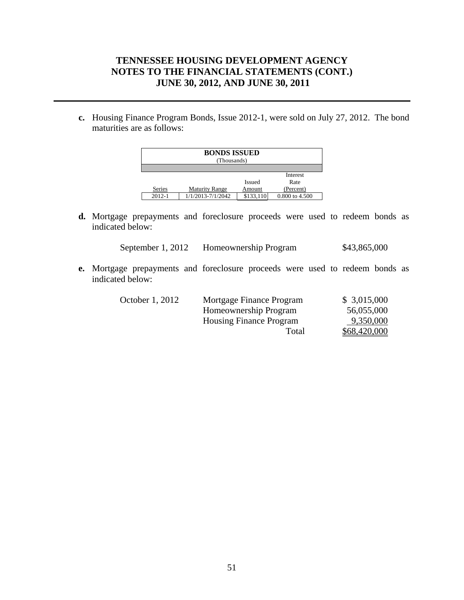**c.** Housing Finance Program Bonds, Issue 2012-1, were sold on July 27, 2012. The bond maturities are as follows:

| <b>BONDS ISSUED</b><br>(Thousands) |                       |               |                 |  |  |  |  |  |  |
|------------------------------------|-----------------------|---------------|-----------------|--|--|--|--|--|--|
|                                    |                       |               | <b>Interest</b> |  |  |  |  |  |  |
|                                    |                       | <b>Issued</b> | Rate            |  |  |  |  |  |  |
| <b>Series</b>                      | <b>Maturity Range</b> | Amount        | (Percent)       |  |  |  |  |  |  |
| $2012 - 1$                         | 1/1/2013-7/1/2042     | \$133.110     | 0.800 to 4.500  |  |  |  |  |  |  |

**d.** Mortgage prepayments and foreclosure proceeds were used to redeem bonds as indicated below:

September 1, 2012 Homeownership Program \$43,865,000

**e.** Mortgage prepayments and foreclosure proceeds were used to redeem bonds as indicated below:

| October 1, 2012 | Mortgage Finance Program       | \$3,015,000  |
|-----------------|--------------------------------|--------------|
|                 | Homeownership Program          | 56,055,000   |
|                 | <b>Housing Finance Program</b> | 9,350,000    |
|                 | Total                          | \$68,420,000 |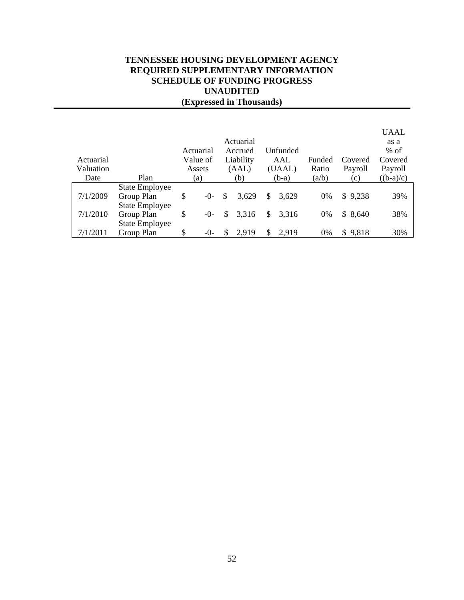## **TENNESSEE HOUSING DEVELOPMENT AGENCY REQUIRED SUPPLEMENTARY INFORMATION SCHEDULE OF FUNDING PROGRESS UNAUDITED (Expressed in Thousands)**

|           |                       |               |           |           |         |          |       |         |         | UAAL        |  |         |
|-----------|-----------------------|---------------|-----------|-----------|---------|----------|-------|---------|---------|-------------|--|---------|
|           |                       |               |           | Actuarial |         |          |       |         |         | as a        |  |         |
|           |                       | Actuarial     |           | Accrued   |         | Unfunded |       |         |         | $%$ of      |  |         |
| Actuarial |                       | Value of      | Liability |           |         |          | AAL   |         | Funded  | Covered     |  | Covered |
| Valuation |                       | Assets        | (AAL)     |           | (UAAL)  |          | Ratio | Payroll |         | Payroll     |  |         |
| Date      | Plan                  | (a)           | (b)       |           | $(b-a)$ |          | (a/b) | (c)     |         | $((b-a)/c)$ |  |         |
|           | <b>State Employee</b> |               |           |           |         |          |       |         |         |             |  |         |
| 7/1/2009  | Group Plan            | \$<br>$-()$ - | S         | 3,629     | S       | 3,629    | 0%    | \$9,238 |         | 39%         |  |         |
|           | <b>State Employee</b> |               |           |           |         |          |       |         |         |             |  |         |
| 7/1/2010  | Group Plan            | \$<br>$-()$ - | \$.       | 3,316     | S       | 3,316    | 0%    |         | \$8,640 | 38%         |  |         |
|           | <b>State Employee</b> |               |           |           |         |          |       |         |         |             |  |         |
| 7/1/2011  | Group Plan            | \$<br>$-()$ - | S         | 2,919     | \$      | 2,919    | 0%    | \$9,818 |         | 30%         |  |         |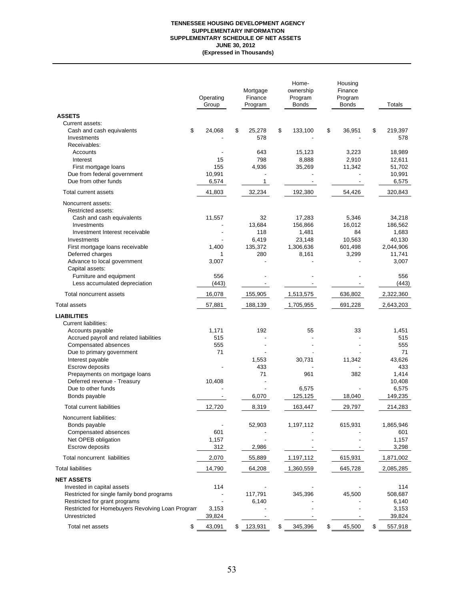#### **TENNESSEE HOUSING DEVELOPMENT AGENCY SUPPLEMENTARY INFORMATION (Expressed in Thousands) SUPPLEMENTARY SCHEDULE OF NET ASSETS JUNE 30, 2012**

|                                                                             | Operating<br>Group | Mortgage<br>Finance<br>Program | Home-<br>ownership<br>Program<br><b>Bonds</b> | Housing<br>Finance<br>Program<br><b>Bonds</b> | Totals               |
|-----------------------------------------------------------------------------|--------------------|--------------------------------|-----------------------------------------------|-----------------------------------------------|----------------------|
| <b>ASSETS</b>                                                               |                    |                                |                                               |                                               |                      |
| Current assets:<br>Cash and cash equivalents<br>Investments<br>Receivables: | \$<br>24,068       | \$<br>25,278<br>578            | \$<br>133,100                                 | \$<br>36,951                                  | \$<br>219,397<br>578 |
| Accounts                                                                    |                    | 643                            | 15,123                                        | 3,223                                         | 18,989               |
| Interest                                                                    | 15                 | 798                            | 8,888                                         | 2,910                                         | 12,611               |
| First mortgage loans                                                        | 155                | 4,936                          | 35,269                                        | 11,342                                        | 51,702               |
| Due from federal government                                                 | 10,991             |                                |                                               |                                               | 10,991               |
| Due from other funds                                                        | 6,574              | $\mathbf{1}$                   |                                               |                                               | 6,575                |
| Total current assets                                                        | 41,803             | 32,234                         | 192,380                                       | 54,426                                        | 320,843              |
| Noncurrent assets:                                                          |                    |                                |                                               |                                               |                      |
| Restricted assets:                                                          |                    |                                |                                               |                                               |                      |
| Cash and cash equivalents                                                   | 11,557             | 32                             | 17,283                                        | 5,346                                         | 34,218               |
| Investments                                                                 |                    | 13,684                         | 156,866                                       | 16,012                                        | 186,562              |
| Investment Interest receivable                                              |                    | 118                            | 1,481                                         | 84                                            | 1,683                |
| Investments                                                                 |                    | 6,419<br>135,372               | 23,148                                        | 10,563                                        | 40,130<br>2,044,906  |
| First mortgage loans receivable<br>Deferred charges                         | 1,400<br>1         | 280                            | 1,306,636<br>8,161                            | 601,498<br>3,299                              | 11,741               |
| Advance to local government                                                 | 3,007              |                                |                                               |                                               | 3,007                |
| Capital assets:                                                             |                    |                                |                                               |                                               |                      |
| Furniture and equipment                                                     | 556                |                                |                                               |                                               | 556                  |
| Less accumulated depreciation                                               | (443)              |                                |                                               |                                               | (443)                |
| Total noncurrent assets                                                     | 16,078             | 155,905                        | 1,513,575                                     | 636,802                                       | 2,322,360            |
| Total assets                                                                | 57,881             | 188,139                        | 1,705,955                                     | 691,228                                       | 2,643,203            |
| <b>LIABILITIES</b>                                                          |                    |                                |                                               |                                               |                      |
| <b>Current liabilities:</b>                                                 |                    |                                |                                               |                                               |                      |
| Accounts payable                                                            | 1,171              | 192                            | 55                                            | 33                                            | 1,451                |
| Accrued payroll and related liabilities                                     | 515                |                                |                                               |                                               | 515                  |
| Compensated absences                                                        | 555                |                                |                                               |                                               | 555                  |
| Due to primary government                                                   | 71                 |                                |                                               |                                               | 71                   |
| Interest payable                                                            |                    | 1,553                          | 30,731                                        | 11,342                                        | 43,626               |
| Escrow deposits                                                             |                    | 433                            |                                               |                                               | 433                  |
| Prepayments on mortgage loans                                               |                    | 71                             | 961                                           | 382                                           | 1,414                |
| Deferred revenue - Treasury<br>Due to other funds                           | 10,408             |                                | 6,575                                         |                                               | 10,408<br>6,575      |
| Bonds payable                                                               |                    | 6,070                          | 125,125                                       | 18,040                                        | 149,235              |
| <b>Total current liabilities</b>                                            | 12,720             | 8,319                          | 163,447                                       | 29,797                                        | 214,283              |
| Noncurrent liabilities:                                                     |                    |                                |                                               |                                               |                      |
| Bonds payable                                                               | -                  | 52,903                         | 1,197,112                                     | 615,931                                       | 1,865,946            |
| Compensated absences                                                        | 601                |                                |                                               |                                               | 601                  |
| Net OPEB obligation                                                         | 1,157              |                                |                                               |                                               | 1,157                |
| Escrow deposits                                                             | 312                | 2,986                          |                                               |                                               | 3,298                |
| Total noncurrent liabilities                                                | 2,070              | 55,889                         | 1,197,112                                     | 615,931                                       | 1,871,002            |
| <b>Total liabilities</b>                                                    | 14,790             | 64,208                         | 1,360,559                                     | 645,728                                       | 2,085,285            |
| <b>NET ASSETS</b>                                                           |                    |                                |                                               |                                               |                      |
| Invested in capital assets                                                  | 114                |                                |                                               |                                               | 114                  |
| Restricted for single family bond programs                                  |                    | 117,791                        | 345,396                                       | 45,500                                        | 508,687              |
| Restricted for grant programs                                               |                    | 6,140                          |                                               |                                               | 6,140                |
| Restricted for Homebuyers Revolving Loan Program<br>Unrestricted            | 3,153<br>39,824    |                                |                                               |                                               | 3,153<br>39,824      |
| Total net assets                                                            | \$<br>43,091       | \$<br>123,931                  | \$<br>345,396                                 | \$<br>45,500                                  | \$<br>557,918        |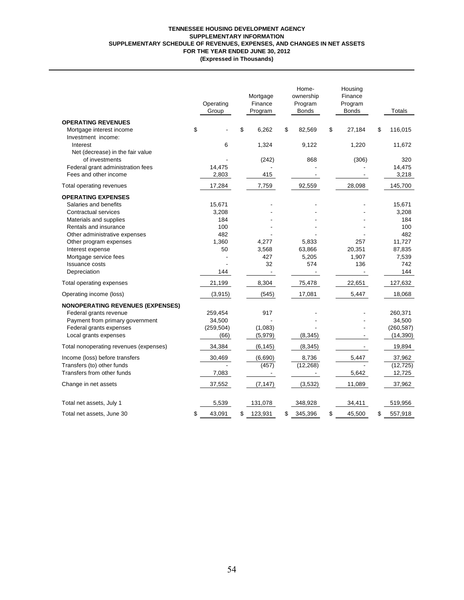#### **TENNESSEE HOUSING DEVELOPMENT AGENCY SUPPLEMENTARY INFORMATION SUPPLEMENTARY SCHEDULE OF REVENUES, EXPENSES, AND CHANGES IN NET ASSETS FOR THE YEAR ENDED JUNE 30, 2012 (Expressed in Thousands)**

|                                         | Operating<br>Group | Mortgage<br>Finance<br>Program | Home-<br>ownership<br>Program<br>Bonds | Housing<br>Finance<br>Program<br><b>Bonds</b> | Totals        |
|-----------------------------------------|--------------------|--------------------------------|----------------------------------------|-----------------------------------------------|---------------|
| <b>OPERATING REVENUES</b>               |                    |                                |                                        |                                               |               |
| Mortgage interest income                | \$                 | \$<br>6,262                    | \$<br>82,569                           | \$<br>27,184                                  | \$<br>116,015 |
| Investment income:                      |                    |                                |                                        |                                               |               |
| Interest                                | 6                  | 1,324                          | 9,122                                  | 1,220                                         | 11,672        |
| Net (decrease) in the fair value        |                    |                                |                                        |                                               |               |
| of investments                          |                    | (242)                          | 868                                    | (306)                                         | 320           |
| Federal grant administration fees       | 14,475             |                                |                                        |                                               | 14,475        |
| Fees and other income                   | 2,803              | 415                            |                                        |                                               | 3,218         |
| Total operating revenues                | 17,284             | 7,759                          | 92,559                                 | 28,098                                        | 145,700       |
| <b>OPERATING EXPENSES</b>               |                    |                                |                                        |                                               |               |
| Salaries and benefits                   | 15,671             |                                |                                        |                                               | 15,671        |
| Contractual services                    | 3,208              |                                |                                        |                                               | 3,208         |
| Materials and supplies                  | 184                |                                |                                        |                                               | 184           |
| Rentals and insurance                   | 100                |                                |                                        |                                               | 100           |
| Other administrative expenses           | 482                |                                |                                        |                                               | 482           |
| Other program expenses                  | 1,360              | 4,277                          | 5,833                                  | 257                                           | 11,727        |
| Interest expense                        | 50                 | 3,568                          | 63,866                                 | 20,351                                        | 87,835        |
| Mortgage service fees                   |                    | 427                            | 5,205                                  | 1,907                                         | 7,539         |
| <b>Issuance costs</b>                   |                    | 32                             | 574                                    | 136                                           | 742           |
| Depreciation                            | 144                |                                |                                        |                                               | 144           |
| Total operating expenses                | 21,199             | 8,304                          | 75,478                                 | 22,651                                        | 127,632       |
| Operating income (loss)                 | (3,915)            | (545)                          | 17,081                                 | 5,447                                         | 18,068        |
| <b>NONOPERATING REVENUES (EXPENSES)</b> |                    |                                |                                        |                                               |               |
| Federal grants revenue                  | 259,454            | 917                            |                                        |                                               | 260,371       |
| Payment from primary government         | 34,500             |                                |                                        |                                               | 34,500        |
| Federal grants expenses                 | (259, 504)         | (1,083)                        |                                        |                                               | (260, 587)    |
| Local grants expenses                   | (66)               | (5,979)                        | (8, 345)                               |                                               | (14, 390)     |
| Total nonoperating revenues (expenses)  | 34,384             | (6, 145)                       | (8, 345)                               |                                               | 19,894        |
| Income (loss) before transfers          | 30,469             | (6,690)                        | 8,736                                  | 5,447                                         | 37,962        |
| Transfers (to) other funds              |                    | (457)                          | (12, 268)                              |                                               | (12, 725)     |
| Transfers from other funds              | 7,083              |                                |                                        | 5,642                                         | 12,725        |
| Change in net assets                    | 37,552             | (7, 147)                       | (3,532)                                | 11,089                                        | 37,962        |
| Total net assets, July 1                | 5,539              | 131,078                        | 348,928                                | 34,411                                        | 519,956       |
|                                         |                    |                                |                                        |                                               |               |
| Total net assets, June 30               | \$<br>43,091       | \$<br>123,931                  | \$<br>345,396                          | \$<br>45,500                                  | \$<br>557,918 |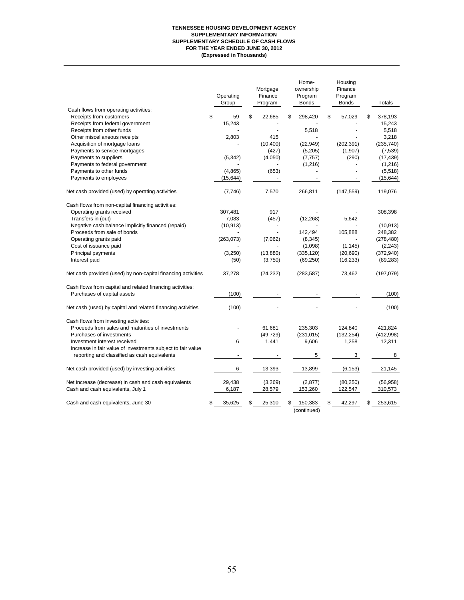#### **TENNESSEE HOUSING DEVELOPMENT AGENCY SUPPLEMENTARY INFORMATION SUPPLEMENTARY SCHEDULE OF CASH FLOWS FOR THE YEAR ENDED JUNE 30, 2012 (Expressed in Thousands)**

|                                                              | Operating<br>Group | Mortgage<br>Finance<br>Program | Home-<br>ownership<br>Program<br><b>Bonds</b> | Housing<br>Finance<br>Program<br><b>Bonds</b> | Totals        |
|--------------------------------------------------------------|--------------------|--------------------------------|-----------------------------------------------|-----------------------------------------------|---------------|
| Cash flows from operating activities:                        |                    |                                |                                               |                                               |               |
| Receipts from customers                                      | \$<br>59           | \$<br>22,685                   | \$<br>298,420                                 | \$<br>57,029                                  | \$<br>378,193 |
| Receipts from federal government                             | 15,243             |                                |                                               |                                               | 15,243        |
| Receipts from other funds                                    |                    |                                | 5,518                                         |                                               | 5,518         |
| Other miscellaneous receipts                                 | 2,803              | 415                            |                                               |                                               | 3,218         |
| Acquisition of mortgage loans                                |                    | (10, 400)                      | (22, 949)                                     | (202, 391)                                    | (235, 740)    |
| Payments to service mortgages                                |                    | (427)                          | (5,205)                                       | (1,907)                                       | (7, 539)      |
| Payments to suppliers                                        | (5,342)            | (4,050)                        | (7, 757)                                      | (290)                                         | (17, 439)     |
| Payments to federal government                               |                    |                                | (1,216)                                       |                                               | (1,216)       |
| Payments to other funds                                      | (4,865)            | (653)                          |                                               | ä,                                            | (5, 518)      |
| Payments to employees                                        | (15, 644)          | $\blacksquare$                 |                                               | ۰                                             | (15, 644)     |
| Net cash provided (used) by operating activities             | (7, 746)           | 7,570                          | 266,811                                       | (147, 559)                                    | 119,076       |
| Cash flows from non-capital financing activities:            |                    |                                |                                               |                                               |               |
| Operating grants received                                    | 307,481            | 917                            |                                               |                                               | 308,398       |
| Transfers in (out)                                           | 7,083              | (457)                          | (12, 268)                                     | 5,642                                         |               |
| Negative cash balance implicitly financed (repaid)           | (10, 913)          | $\blacksquare$                 |                                               |                                               | (10, 913)     |
| Proceeds from sale of bonds                                  |                    |                                | 142,494                                       | 105,888                                       | 248,382       |
| Operating grants paid                                        | (263,073)          | (7,062)                        | (8, 345)                                      |                                               | (278, 480)    |
| Cost of issuance paid                                        |                    |                                | (1,098)                                       | (1, 145)                                      | (2, 243)      |
| Principal payments                                           | (3,250)            | (13, 880)                      | (335, 120)                                    | (20, 690)                                     | (372, 940)    |
| Interest paid                                                | (50)               | (3,750)                        | (69, 250)                                     | (16, 233)                                     | (89, 283)     |
| Net cash provided (used) by non-capital financing activities | 37,278             | (24, 232)                      | (283, 587)                                    | 73,462                                        | (197,079)     |
| Cash flows from capital and related financing activities:    |                    |                                |                                               |                                               |               |
| Purchases of capital assets                                  | (100)              |                                |                                               |                                               | (100)         |
| Net cash (used) by capital and related financing activities  | (100)              |                                |                                               |                                               | (100)         |
| Cash flows from investing activities:                        |                    |                                |                                               |                                               |               |
| Proceeds from sales and maturities of investments            |                    | 61,681                         | 235,303                                       | 124,840                                       | 421,824       |
| Purchases of investments                                     |                    | (49, 729)                      | (231, 015)                                    | (132, 254)                                    | (412,998)     |
| Investment interest received                                 | 6                  | 1,441                          | 9,606                                         | 1,258                                         | 12,311        |
| Increase in fair value of investments subject to fair value  |                    |                                |                                               |                                               |               |
| reporting and classified as cash equivalents                 |                    |                                | 5                                             | 3                                             | 8             |
| Net cash provided (used) by investing activities             | 6                  | 13,393                         | 13,899                                        | (6, 153)                                      | 21,145        |
| Net increase (decrease) in cash and cash equivalents         | 29,438             | (3,269)                        | (2, 877)                                      | (80, 250)                                     | (56, 958)     |
| Cash and cash equivalents, July 1                            | 6,187              | 28,579                         | 153,260                                       | 122,547                                       | 310,573       |
| Cash and cash equivalents, June 30                           | \$<br>35,625       | \$<br>25,310                   | \$<br>150,383<br>(continued)                  | 42,297                                        | 253,615       |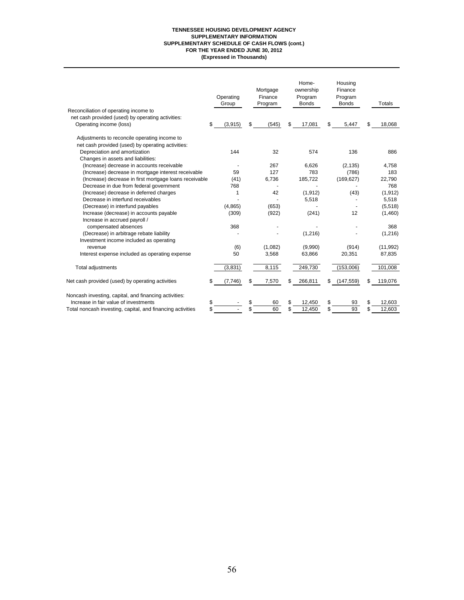#### **TENNESSEE HOUSING DEVELOPMENT AGENCY SUPPLEMENTARY INFORMATION SUPPLEMENTARY SCHEDULE OF CASH FLOWS (cont.) FOR THE YEAR ENDED JUNE 30, 2012 (Expressed in Thousands)**

|                                                            | Operating<br>Group |    | Mortgage<br>Finance<br>Program | Home-<br>ownership<br>Program<br><b>Bonds</b> | Housing<br>Finance<br>Program<br><b>Bonds</b> | Totals       |
|------------------------------------------------------------|--------------------|----|--------------------------------|-----------------------------------------------|-----------------------------------------------|--------------|
| Reconciliation of operating income to                      |                    |    |                                |                                               |                                               |              |
| net cash provided (used) by operating activities:          |                    |    |                                |                                               |                                               |              |
| Operating income (loss)                                    | \$<br>(3,915)      | \$ | (545)                          | \$<br>17,081                                  | \$<br>5,447                                   | \$<br>18,068 |
| Adjustments to reconcile operating income to               |                    |    |                                |                                               |                                               |              |
| net cash provided (used) by operating activities:          |                    |    |                                |                                               |                                               |              |
| Depreciation and amortization                              | 144                |    | 32                             | 574                                           | 136                                           | 886          |
| Changes in assets and liabilities:                         |                    |    |                                |                                               |                                               |              |
| (Increase) decrease in accounts receivable                 |                    |    | 267                            | 6,626                                         | (2, 135)                                      | 4,758        |
| (Increase) decrease in mortgage interest receivable        | 59                 |    | 127                            | 783                                           | (786)                                         | 183          |
| (Increase) decrease in first mortgage loans receivable     | (41)               |    | 6,736                          | 185,722                                       | (169, 627)                                    | 22,790       |
| Decrease in due from federal government                    | 768                |    | ٠                              |                                               |                                               | 768          |
| (Increase) decrease in deferred charges                    | 1                  |    | 42                             | (1, 912)                                      | (43)                                          | (1, 912)     |
| Decrease in interfund receivables                          |                    |    |                                | 5,518                                         |                                               | 5,518        |
| (Decrease) in interfund payables                           | (4,865)            |    | (653)                          |                                               |                                               | (5, 518)     |
| Increase (decrease) in accounts payable                    | (309)              |    | (922)                          | (241)                                         | 12                                            | (1,460)      |
| Increase in accrued payroll /                              |                    |    |                                |                                               |                                               |              |
| compensated absences                                       | 368                |    |                                |                                               |                                               | 368          |
| (Decrease) in arbitrage rebate liability                   |                    |    |                                | (1,216)                                       |                                               | (1, 216)     |
| Investment income included as operating                    |                    |    |                                |                                               |                                               |              |
| revenue                                                    | (6)                |    | (1,082)                        | (9,990)                                       | (914)                                         | (11, 992)    |
| Interest expense included as operating expense             | 50                 |    | 3,568                          | 63,866                                        | 20,351                                        | 87,835       |
| Total adjustments                                          | (3,831)            |    | 8,115                          | 249,730                                       | (153,006)                                     | 101,008      |
|                                                            |                    |    |                                |                                               |                                               |              |
| Net cash provided (used) by operating activities           | \$<br>(7,746)      | S  | 7,570                          | 266,811                                       | (147, 559)                                    | 119,076      |
| Noncash investing, capital, and financing activities:      |                    |    |                                |                                               |                                               |              |
| Increase in fair value of investments                      | \$                 | \$ | 60                             | \$<br>12.450                                  | 93                                            | 12,603       |
| Total noncash investing, capital, and financing activities | \$                 | \$ | 60                             | \$<br>12.450                                  | 93                                            | 12,603       |